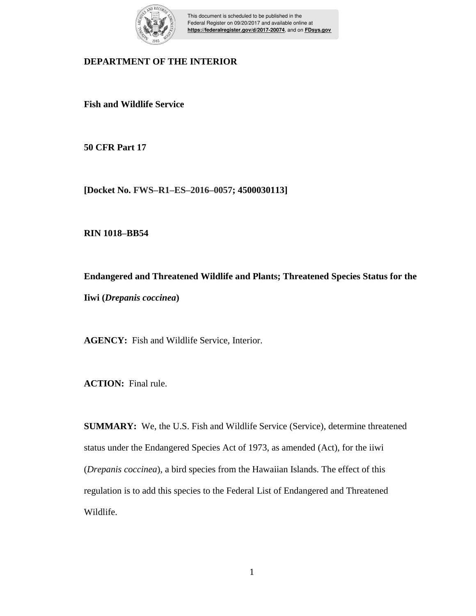

This document is scheduled to be published in the Federal Register on 09/20/2017 and available online at **https://federalregister.gov/d/2017-20074**, and on **FDsys.gov**

# **DEPARTMENT OF THE INTERIOR**

**Fish and Wildlife Service**

**50 CFR Part 17**

**[Docket No. FWS–R1–ES–2016–0057; 4500030113]**

**RIN 1018–BB54**

**Endangered and Threatened Wildlife and Plants; Threatened Species Status for the Iiwi (***Drepanis coccinea***)**

**AGENCY:** Fish and Wildlife Service, Interior.

**ACTION:** Final rule.

**SUMMARY:** We, the U.S. Fish and Wildlife Service (Service), determine threatened status under the Endangered Species Act of 1973, as amended (Act), for the iiwi (*Drepanis coccinea*), a bird species from the Hawaiian Islands. The effect of this regulation is to add this species to the Federal List of Endangered and Threatened Wildlife.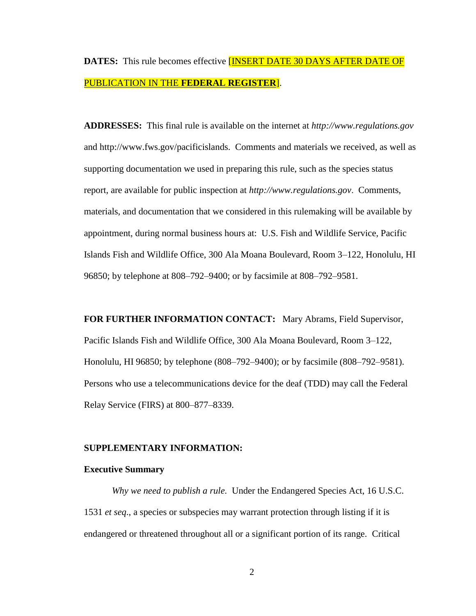# **DATES:** This rule becomes effective [INSERT DATE 30 DAYS AFTER DATE OF PUBLICATION IN THE **FEDERAL REGISTER**].

**ADDRESSES:** This final rule is available on the internet at *http://www.regulations.gov* and http://www.fws.gov/pacificislands. Comments and materials we received, as well as supporting documentation we used in preparing this rule, such as the species status report, are available for public inspection at *http://www.regulations.gov*. Comments, materials, and documentation that we considered in this rulemaking will be available by appointment, during normal business hours at: U.S. Fish and Wildlife Service, Pacific Islands Fish and Wildlife Office, 300 Ala Moana Boulevard, Room 3–122, Honolulu, HI 96850; by telephone at 808–792–9400; or by facsimile at 808–792–9581.

**FOR FURTHER INFORMATION CONTACT:** Mary Abrams, Field Supervisor, Pacific Islands Fish and Wildlife Office, 300 Ala Moana Boulevard, Room 3–122, Honolulu, HI 96850; by telephone (808–792–9400); or by facsimile (808–792–9581). Persons who use a telecommunications device for the deaf (TDD) may call the Federal Relay Service (FIRS) at 800–877–8339.

#### **SUPPLEMENTARY INFORMATION:**

#### **Executive Summary**

*Why we need to publish a rule.* Under the Endangered Species Act, 16 U.S.C. 1531 *et seq*., a species or subspecies may warrant protection through listing if it is endangered or threatened throughout all or a significant portion of its range. Critical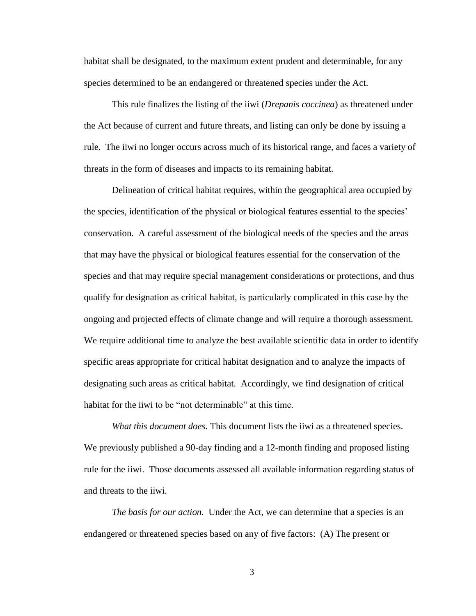habitat shall be designated, to the maximum extent prudent and determinable, for any species determined to be an endangered or threatened species under the Act.

This rule finalizes the listing of the iiwi (*Drepanis coccinea*) as threatened under the Act because of current and future threats, and listing can only be done by issuing a rule. The iiwi no longer occurs across much of its historical range, and faces a variety of threats in the form of diseases and impacts to its remaining habitat.

Delineation of critical habitat requires, within the geographical area occupied by the species, identification of the physical or biological features essential to the species' conservation. A careful assessment of the biological needs of the species and the areas that may have the physical or biological features essential for the conservation of the species and that may require special management considerations or protections, and thus qualify for designation as critical habitat, is particularly complicated in this case by the ongoing and projected effects of climate change and will require a thorough assessment. We require additional time to analyze the best available scientific data in order to identify specific areas appropriate for critical habitat designation and to analyze the impacts of designating such areas as critical habitat. Accordingly, we find designation of critical habitat for the iiwi to be "not determinable" at this time.

*What this document does.* This document lists the iiwi as a threatened species. We previously published a 90-day finding and a 12-month finding and proposed listing rule for the iiwi. Those documents assessed all available information regarding status of and threats to the iiwi.

*The basis for our action.* Under the Act, we can determine that a species is an endangered or threatened species based on any of five factors: (A) The present or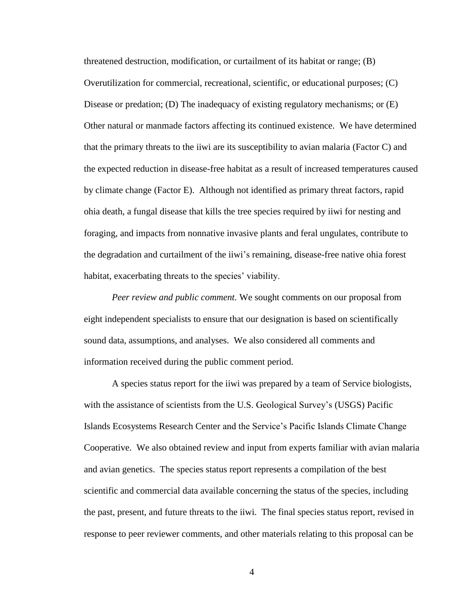threatened destruction, modification, or curtailment of its habitat or range; (B) Overutilization for commercial, recreational, scientific, or educational purposes; (C) Disease or predation; (D) The inadequacy of existing regulatory mechanisms; or (E) Other natural or manmade factors affecting its continued existence. We have determined that the primary threats to the iiwi are its susceptibility to avian malaria (Factor C) and the expected reduction in disease-free habitat as a result of increased temperatures caused by climate change (Factor E). Although not identified as primary threat factors, rapid ohia death, a fungal disease that kills the tree species required by iiwi for nesting and foraging, and impacts from nonnative invasive plants and feral ungulates, contribute to the degradation and curtailment of the iiwi's remaining, disease-free native ohia forest habitat, exacerbating threats to the species' viability.

*Peer review and public comment.* We sought comments on our proposal from eight independent specialists to ensure that our designation is based on scientifically sound data, assumptions, and analyses. We also considered all comments and information received during the public comment period.

A species status report for the iiwi was prepared by a team of Service biologists, with the assistance of scientists from the U.S. Geological Survey's (USGS) Pacific Islands Ecosystems Research Center and the Service's Pacific Islands Climate Change Cooperative. We also obtained review and input from experts familiar with avian malaria and avian genetics. The species status report represents a compilation of the best scientific and commercial data available concerning the status of the species, including the past, present, and future threats to the iiwi. The final species status report, revised in response to peer reviewer comments, and other materials relating to this proposal can be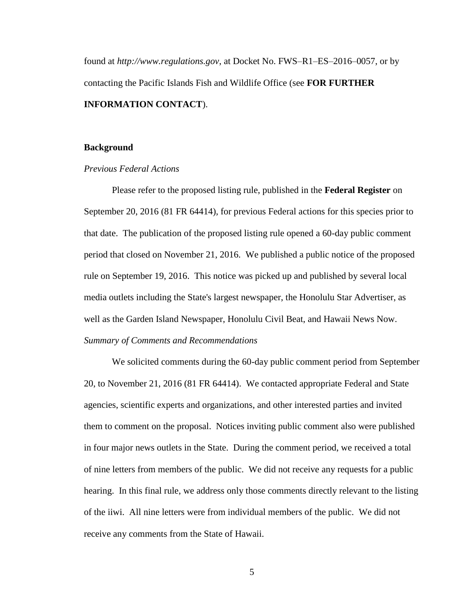found at *http://www.regulations.gov*, at Docket No. FWS–R1–ES–2016–0057, or by contacting the Pacific Islands Fish and Wildlife Office (see **FOR FURTHER INFORMATION CONTACT**).

#### **Background**

#### *Previous Federal Actions*

Please refer to the proposed listing rule, published in the **Federal Register** on September 20, 2016 (81 FR 64414), for previous Federal actions for this species prior to that date. The publication of the proposed listing rule opened a 60-day public comment period that closed on November 21, 2016. We published a public notice of the proposed rule on September 19, 2016. This notice was picked up and published by several local media outlets including the State's largest newspaper, the Honolulu Star Advertiser, as well as the Garden Island Newspaper, Honolulu Civil Beat, and Hawaii News Now. *Summary of Comments and Recommendations*

We solicited comments during the 60-day public comment period from September 20, to November 21, 2016 (81 FR 64414). We contacted appropriate Federal and State agencies, scientific experts and organizations, and other interested parties and invited them to comment on the proposal. Notices inviting public comment also were published in four major news outlets in the State. During the comment period, we received a total of nine letters from members of the public. We did not receive any requests for a public hearing. In this final rule, we address only those comments directly relevant to the listing of the iiwi. All nine letters were from individual members of the public. We did not receive any comments from the State of Hawaii.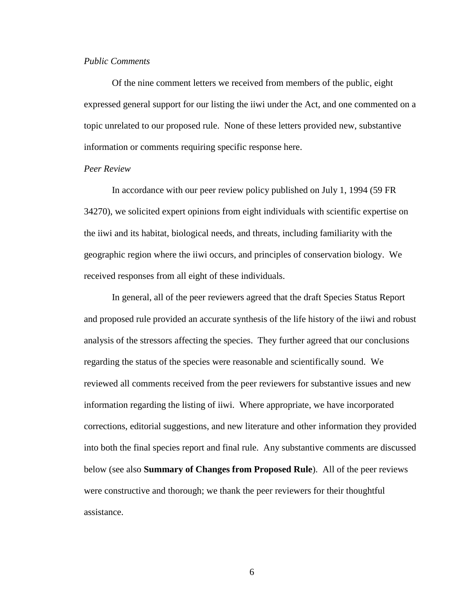### *Public Comments*

Of the nine comment letters we received from members of the public, eight expressed general support for our listing the iiwi under the Act, and one commented on a topic unrelated to our proposed rule. None of these letters provided new, substantive information or comments requiring specific response here.

#### *Peer Review*

In accordance with our peer review policy published on July 1, 1994 (59 FR 34270), we solicited expert opinions from eight individuals with scientific expertise on the iiwi and its habitat, biological needs, and threats, including familiarity with the geographic region where the iiwi occurs, and principles of conservation biology. We received responses from all eight of these individuals.

In general, all of the peer reviewers agreed that the draft Species Status Report and proposed rule provided an accurate synthesis of the life history of the iiwi and robust analysis of the stressors affecting the species. They further agreed that our conclusions regarding the status of the species were reasonable and scientifically sound. We reviewed all comments received from the peer reviewers for substantive issues and new information regarding the listing of iiwi. Where appropriate, we have incorporated corrections, editorial suggestions, and new literature and other information they provided into both the final species report and final rule. Any substantive comments are discussed below (see also **Summary of Changes from Proposed Rule**). All of the peer reviews were constructive and thorough; we thank the peer reviewers for their thoughtful assistance.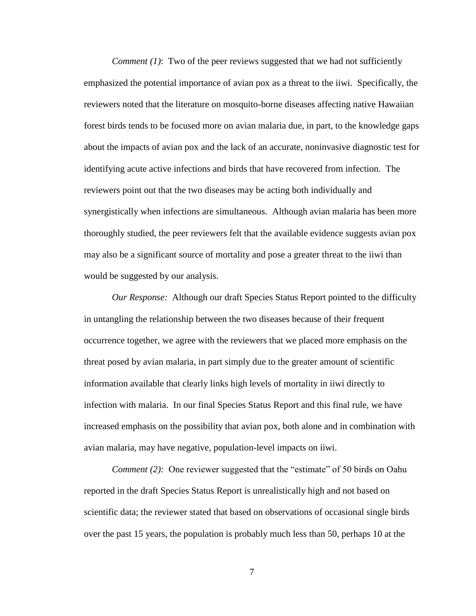*Comment (1)*: Two of the peer reviews suggested that we had not sufficiently emphasized the potential importance of avian pox as a threat to the iiwi. Specifically, the reviewers noted that the literature on mosquito-borne diseases affecting native Hawaiian forest birds tends to be focused more on avian malaria due, in part, to the knowledge gaps about the impacts of avian pox and the lack of an accurate, noninvasive diagnostic test for identifying acute active infections and birds that have recovered from infection. The reviewers point out that the two diseases may be acting both individually and synergistically when infections are simultaneous. Although avian malaria has been more thoroughly studied, the peer reviewers felt that the available evidence suggests avian pox may also be a significant source of mortality and pose a greater threat to the iiwi than would be suggested by our analysis.

*Our Response:* Although our draft Species Status Report pointed to the difficulty in untangling the relationship between the two diseases because of their frequent occurrence together, we agree with the reviewers that we placed more emphasis on the threat posed by avian malaria, in part simply due to the greater amount of scientific information available that clearly links high levels of mortality in iiwi directly to infection with malaria. In our final Species Status Report and this final rule, we have increased emphasis on the possibility that avian pox, both alone and in combination with avian malaria, may have negative, population-level impacts on iiwi.

*Comment (2):* One reviewer suggested that the "estimate" of 50 birds on Oahu reported in the draft Species Status Report is unrealistically high and not based on scientific data; the reviewer stated that based on observations of occasional single birds over the past 15 years, the population is probably much less than 50, perhaps 10 at the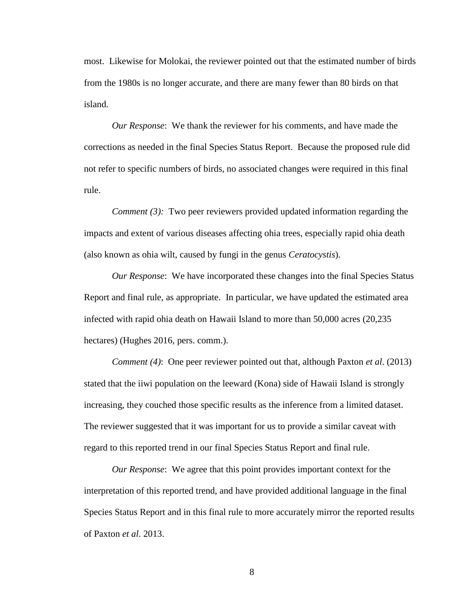most. Likewise for Molokai, the reviewer pointed out that the estimated number of birds from the 1980s is no longer accurate, and there are many fewer than 80 birds on that island.

*Our Response*: We thank the reviewer for his comments, and have made the corrections as needed in the final Species Status Report. Because the proposed rule did not refer to specific numbers of birds, no associated changes were required in this final rule.

*Comment (3):* Two peer reviewers provided updated information regarding the impacts and extent of various diseases affecting ohia trees, especially rapid ohia death (also known as ohia wilt, caused by fungi in the genus *Ceratocystis*).

*Our Response*: We have incorporated these changes into the final Species Status Report and final rule, as appropriate. In particular, we have updated the estimated area infected with rapid ohia death on Hawaii Island to more than 50,000 acres (20,235 hectares) (Hughes 2016, pers. comm.).

*Comment (4)*: One peer reviewer pointed out that, although Paxton *et al*. (2013) stated that the iiwi population on the leeward (Kona) side of Hawaii Island is strongly increasing, they couched those specific results as the inference from a limited dataset. The reviewer suggested that it was important for us to provide a similar caveat with regard to this reported trend in our final Species Status Report and final rule.

*Our Response*: We agree that this point provides important context for the interpretation of this reported trend, and have provided additional language in the final Species Status Report and in this final rule to more accurately mirror the reported results of Paxton *et al*. 2013.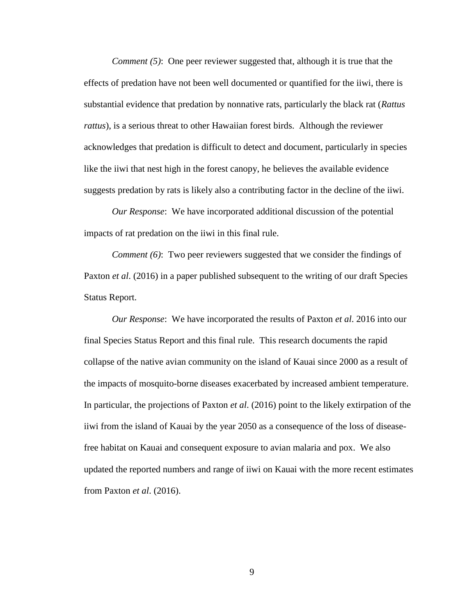*Comment (5)*: One peer reviewer suggested that, although it is true that the effects of predation have not been well documented or quantified for the iiwi, there is substantial evidence that predation by nonnative rats, particularly the black rat (*Rattus rattus*), is a serious threat to other Hawaiian forest birds. Although the reviewer acknowledges that predation is difficult to detect and document, particularly in species like the iiwi that nest high in the forest canopy, he believes the available evidence suggests predation by rats is likely also a contributing factor in the decline of the iiwi.

*Our Response*: We have incorporated additional discussion of the potential impacts of rat predation on the iiwi in this final rule.

*Comment (6)*: Two peer reviewers suggested that we consider the findings of Paxton *et al*. (2016) in a paper published subsequent to the writing of our draft Species Status Report.

*Our Response*: We have incorporated the results of Paxton *et al*. 2016 into our final Species Status Report and this final rule. This research documents the rapid collapse of the native avian community on the island of Kauai since 2000 as a result of the impacts of mosquito-borne diseases exacerbated by increased ambient temperature. In particular, the projections of Paxton *et al*. (2016) point to the likely extirpation of the iiwi from the island of Kauai by the year 2050 as a consequence of the loss of diseasefree habitat on Kauai and consequent exposure to avian malaria and pox. We also updated the reported numbers and range of iiwi on Kauai with the more recent estimates from Paxton *et al*. (2016).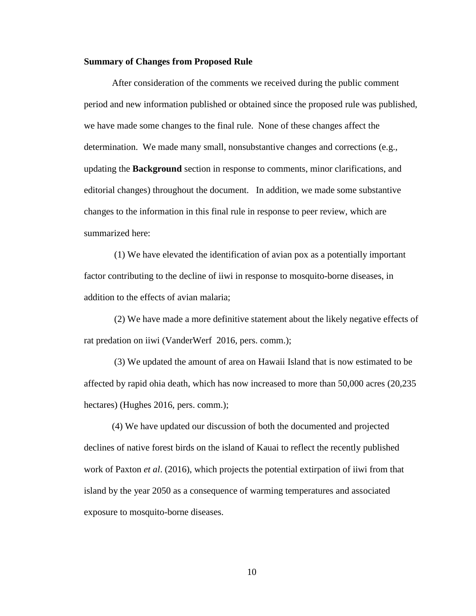#### **Summary of Changes from Proposed Rule**

After consideration of the comments we received during the public comment period and new information published or obtained since the proposed rule was published, we have made some changes to the final rule. None of these changes affect the determination. We made many small, nonsubstantive changes and corrections (e.g., updating the **Background** section in response to comments, minor clarifications, and editorial changes) throughout the document. In addition, we made some substantive changes to the information in this final rule in response to peer review, which are summarized here:

(1) We have elevated the identification of avian pox as a potentially important factor contributing to the decline of iiwi in response to mosquito-borne diseases, in addition to the effects of avian malaria;

(2) We have made a more definitive statement about the likely negative effects of rat predation on iiwi (VanderWerf 2016, pers. comm.);

(3) We updated the amount of area on Hawaii Island that is now estimated to be affected by rapid ohia death, which has now increased to more than 50,000 acres (20,235 hectares) (Hughes 2016, pers. comm.);

(4) We have updated our discussion of both the documented and projected declines of native forest birds on the island of Kauai to reflect the recently published work of Paxton *et al*. (2016), which projects the potential extirpation of iiwi from that island by the year 2050 as a consequence of warming temperatures and associated exposure to mosquito-borne diseases.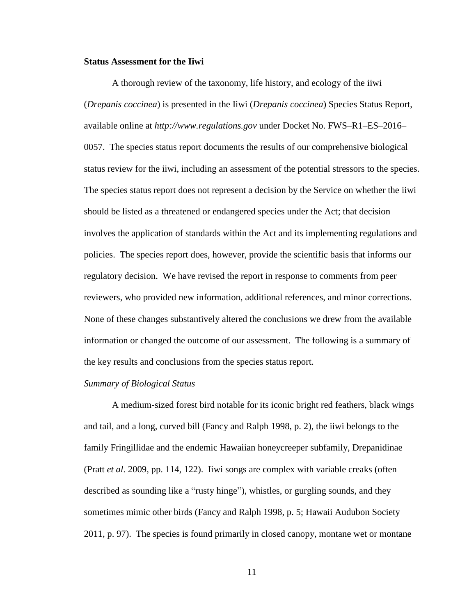#### **Status Assessment for the Iiwi**

A thorough review of the taxonomy, life history, and ecology of the iiwi (*Drepanis coccinea*) is presented in the Iiwi (*Drepanis coccinea*) Species Status Report, available online at *http://www.regulations.gov* under Docket No. FWS–R1–ES–2016– 0057. The species status report documents the results of our comprehensive biological status review for the iiwi, including an assessment of the potential stressors to the species. The species status report does not represent a decision by the Service on whether the iiwi should be listed as a threatened or endangered species under the Act; that decision involves the application of standards within the Act and its implementing regulations and policies. The species report does, however, provide the scientific basis that informs our regulatory decision. We have revised the report in response to comments from peer reviewers, who provided new information, additional references, and minor corrections. None of these changes substantively altered the conclusions we drew from the available information or changed the outcome of our assessment. The following is a summary of the key results and conclusions from the species status report.

#### *Summary of Biological Status*

A medium-sized forest bird notable for its iconic bright red feathers, black wings and tail, and a long, curved bill (Fancy and Ralph 1998, p. 2), the iiwi belongs to the family Fringillidae and the endemic Hawaiian honeycreeper subfamily, Drepanidinae (Pratt *et al*. 2009, pp. 114, 122). Iiwi songs are complex with variable creaks (often described as sounding like a "rusty hinge"), whistles, or gurgling sounds, and they sometimes mimic other birds (Fancy and Ralph 1998, p. 5; Hawaii Audubon Society 2011, p. 97). The species is found primarily in closed canopy, montane wet or montane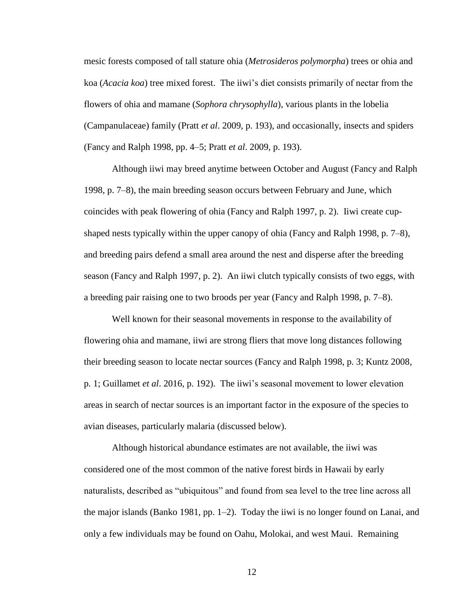mesic forests composed of tall stature ohia (*Metrosideros polymorpha*) trees or ohia and koa (*Acacia koa*) tree mixed forest. The iiwi's diet consists primarily of nectar from the flowers of ohia and mamane (*Sophora chrysophylla*), various plants in the lobelia (Campanulaceae) family (Pratt *et al*. 2009, p. 193), and occasionally, insects and spiders (Fancy and Ralph 1998, pp. 4–5; Pratt *et al*. 2009, p. 193).

Although iiwi may breed anytime between October and August (Fancy and Ralph 1998, p. 7–8), the main breeding season occurs between February and June, which coincides with peak flowering of ohia (Fancy and Ralph 1997, p. 2). Iiwi create cupshaped nests typically within the upper canopy of ohia (Fancy and Ralph 1998, p. 7–8), and breeding pairs defend a small area around the nest and disperse after the breeding season (Fancy and Ralph 1997, p. 2). An iiwi clutch typically consists of two eggs, with a breeding pair raising one to two broods per year (Fancy and Ralph 1998, p. 7–8).

Well known for their seasonal movements in response to the availability of flowering ohia and mamane, iiwi are strong fliers that move long distances following their breeding season to locate nectar sources (Fancy and Ralph 1998, p. 3; Kuntz 2008, p. 1; Guillamet *et al*. 2016, p. 192). The iiwi's seasonal movement to lower elevation areas in search of nectar sources is an important factor in the exposure of the species to avian diseases, particularly malaria (discussed below).

Although historical abundance estimates are not available, the iiwi was considered one of the most common of the native forest birds in Hawaii by early naturalists, described as "ubiquitous" and found from sea level to the tree line across all the major islands (Banko 1981, pp. 1–2). Today the iiwi is no longer found on Lanai, and only a few individuals may be found on Oahu, Molokai, and west Maui. Remaining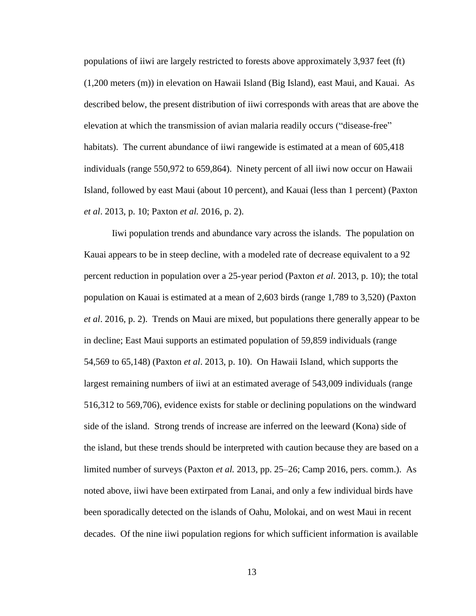populations of iiwi are largely restricted to forests above approximately 3,937 feet (ft) (1,200 meters (m)) in elevation on Hawaii Island (Big Island), east Maui, and Kauai. As described below, the present distribution of iiwi corresponds with areas that are above the elevation at which the transmission of avian malaria readily occurs ("disease-free" habitats). The current abundance of iiwi rangewide is estimated at a mean of 605,418 individuals (range 550,972 to 659,864). Ninety percent of all iiwi now occur on Hawaii Island, followed by east Maui (about 10 percent), and Kauai (less than 1 percent) (Paxton *et al*. 2013, p. 10; Paxton *et al.* 2016, p. 2).

Iiwi population trends and abundance vary across the islands. The population on Kauai appears to be in steep decline, with a modeled rate of decrease equivalent to a 92 percent reduction in population over a 25-year period (Paxton *et al*. 2013, p. 10); the total population on Kauai is estimated at a mean of 2,603 birds (range 1,789 to 3,520) (Paxton *et al*. 2016, p. 2). Trends on Maui are mixed, but populations there generally appear to be in decline; East Maui supports an estimated population of 59,859 individuals (range 54,569 to 65,148) (Paxton *et al*. 2013, p. 10). On Hawaii Island, which supports the largest remaining numbers of iiwi at an estimated average of 543,009 individuals (range 516,312 to 569,706), evidence exists for stable or declining populations on the windward side of the island. Strong trends of increase are inferred on the leeward (Kona) side of the island, but these trends should be interpreted with caution because they are based on a limited number of surveys (Paxton *et al.* 2013, pp. 25–26; Camp 2016, pers. comm.). As noted above, iiwi have been extirpated from Lanai, and only a few individual birds have been sporadically detected on the islands of Oahu, Molokai, and on west Maui in recent decades. Of the nine iiwi population regions for which sufficient information is available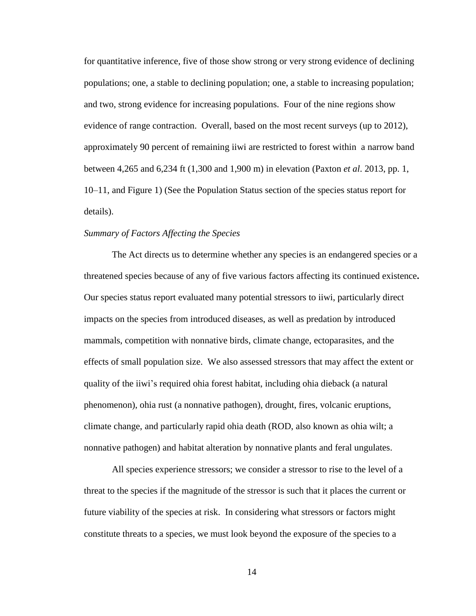for quantitative inference, five of those show strong or very strong evidence of declining populations; one, a stable to declining population; one, a stable to increasing population; and two, strong evidence for increasing populations. Four of the nine regions show evidence of range contraction. Overall, based on the most recent surveys (up to 2012), approximately 90 percent of remaining iiwi are restricted to forest within a narrow band between 4,265 and 6,234 ft (1,300 and 1,900 m) in elevation (Paxton *et al*. 2013, pp. 1, 10–11, and Figure 1) (See the Population Status section of the species status report for details).

## *Summary of Factors Affecting the Species*

The Act directs us to determine whether any species is an endangered species or a threatened species because of any of five various factors affecting its continued existence**.**  Our species status report evaluated many potential stressors to iiwi, particularly direct impacts on the species from introduced diseases, as well as predation by introduced mammals, competition with nonnative birds, climate change, ectoparasites, and the effects of small population size. We also assessed stressors that may affect the extent or quality of the iiwi's required ohia forest habitat, including ohia dieback (a natural phenomenon), ohia rust (a nonnative pathogen), drought, fires, volcanic eruptions, climate change, and particularly rapid ohia death (ROD, also known as ohia wilt; a nonnative pathogen) and habitat alteration by nonnative plants and feral ungulates.

All species experience stressors; we consider a stressor to rise to the level of a threat to the species if the magnitude of the stressor is such that it places the current or future viability of the species at risk. In considering what stressors or factors might constitute threats to a species, we must look beyond the exposure of the species to a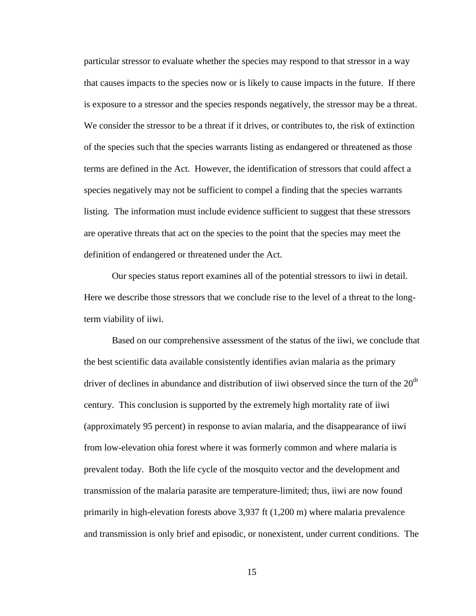particular stressor to evaluate whether the species may respond to that stressor in a way that causes impacts to the species now or is likely to cause impacts in the future. If there is exposure to a stressor and the species responds negatively, the stressor may be a threat. We consider the stressor to be a threat if it drives, or contributes to, the risk of extinction of the species such that the species warrants listing as endangered or threatened as those terms are defined in the Act. However, the identification of stressors that could affect a species negatively may not be sufficient to compel a finding that the species warrants listing. The information must include evidence sufficient to suggest that these stressors are operative threats that act on the species to the point that the species may meet the definition of endangered or threatened under the Act.

Our species status report examines all of the potential stressors to iiwi in detail. Here we describe those stressors that we conclude rise to the level of a threat to the longterm viability of iiwi.

Based on our comprehensive assessment of the status of the iiwi, we conclude that the best scientific data available consistently identifies avian malaria as the primary driver of declines in abundance and distribution of iiwi observed since the turn of the  $20<sup>th</sup>$ century. This conclusion is supported by the extremely high mortality rate of iiwi (approximately 95 percent) in response to avian malaria, and the disappearance of iiwi from low-elevation ohia forest where it was formerly common and where malaria is prevalent today. Both the life cycle of the mosquito vector and the development and transmission of the malaria parasite are temperature-limited; thus, iiwi are now found primarily in high-elevation forests above 3,937 ft (1,200 m) where malaria prevalence and transmission is only brief and episodic, or nonexistent, under current conditions. The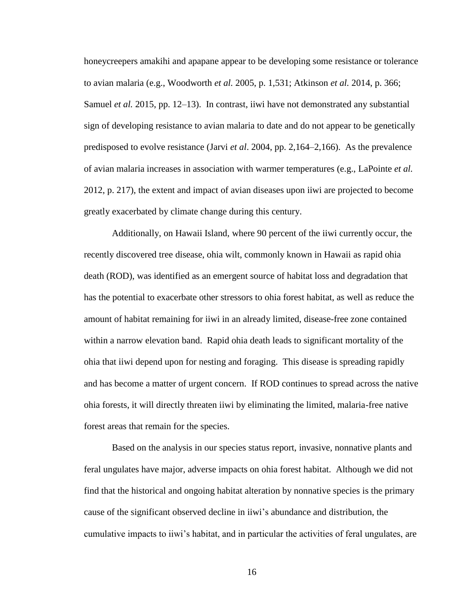honeycreepers amakihi and apapane appear to be developing some resistance or tolerance to avian malaria (e.g., Woodworth *et al.* 2005, p. 1,531; Atkinson *et al.* 2014, p. 366; Samuel *et al.* 2015, pp. 12–13). In contrast, iiwi have not demonstrated any substantial sign of developing resistance to avian malaria to date and do not appear to be genetically predisposed to evolve resistance (Jarvi *et al*. 2004, pp. 2,164–2,166). As the prevalence of avian malaria increases in association with warmer temperatures (e.g., LaPointe *et al.* 2012, p. 217), the extent and impact of avian diseases upon iiwi are projected to become greatly exacerbated by climate change during this century.

Additionally, on Hawaii Island, where 90 percent of the iiwi currently occur, the recently discovered tree disease, ohia wilt, commonly known in Hawaii as rapid ohia death (ROD), was identified as an emergent source of habitat loss and degradation that has the potential to exacerbate other stressors to ohia forest habitat, as well as reduce the amount of habitat remaining for iiwi in an already limited, disease-free zone contained within a narrow elevation band. Rapid ohia death leads to significant mortality of the ohia that iiwi depend upon for nesting and foraging. This disease is spreading rapidly and has become a matter of urgent concern. If ROD continues to spread across the native ohia forests, it will directly threaten iiwi by eliminating the limited, malaria-free native forest areas that remain for the species.

Based on the analysis in our species status report, invasive, nonnative plants and feral ungulates have major, adverse impacts on ohia forest habitat. Although we did not find that the historical and ongoing habitat alteration by nonnative species is the primary cause of the significant observed decline in iiwi's abundance and distribution, the cumulative impacts to iiwi's habitat, and in particular the activities of feral ungulates, are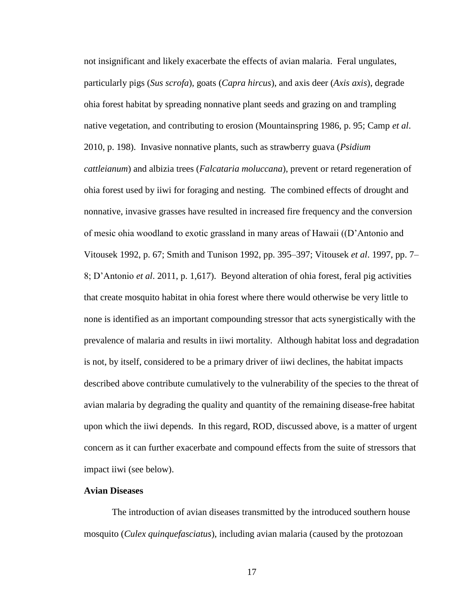not insignificant and likely exacerbate the effects of avian malaria. Feral ungulates, particularly pigs (*Sus scrofa*), goats (*Capra hircus*), and axis deer (*Axis axis*), degrade ohia forest habitat by spreading nonnative plant seeds and grazing on and trampling native vegetation, and contributing to erosion (Mountainspring 1986, p. 95; Camp *et al*. 2010, p. 198). Invasive nonnative plants, such as strawberry guava (*Psidium cattleianum*) and albizia trees (*Falcataria moluccana*), prevent or retard regeneration of ohia forest used by iiwi for foraging and nesting. The combined effects of drought and nonnative, invasive grasses have resulted in increased fire frequency and the conversion of mesic ohia woodland to exotic grassland in many areas of Hawaii ((D'Antonio and Vitousek 1992, p. 67; Smith and Tunison 1992, pp. 395–397; Vitousek *et al*. 1997, pp. 7– 8; D'Antonio *et al*. 2011, p. 1,617). Beyond alteration of ohia forest, feral pig activities that create mosquito habitat in ohia forest where there would otherwise be very little to none is identified as an important compounding stressor that acts synergistically with the prevalence of malaria and results in iiwi mortality. Although habitat loss and degradation is not, by itself, considered to be a primary driver of iiwi declines, the habitat impacts described above contribute cumulatively to the vulnerability of the species to the threat of avian malaria by degrading the quality and quantity of the remaining disease-free habitat upon which the iiwi depends. In this regard, ROD, discussed above, is a matter of urgent concern as it can further exacerbate and compound effects from the suite of stressors that impact iiwi (see below).

### **Avian Diseases**

The introduction of avian diseases transmitted by the introduced southern house mosquito (*Culex quinquefasciatus*), including avian malaria (caused by the protozoan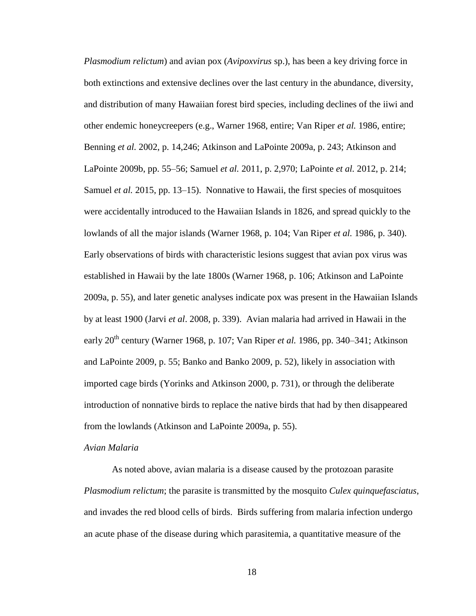*Plasmodium relictum*) and avian pox (*Avipoxvirus* sp.), has been a key driving force in both extinctions and extensive declines over the last century in the abundance, diversity, and distribution of many Hawaiian forest bird species, including declines of the iiwi and other endemic honeycreepers (e.g., Warner 1968, entire; Van Riper *et al.* 1986, entire; Benning *et al.* 2002, p. 14,246; Atkinson and LaPointe 2009a, p. 243; Atkinson and LaPointe 2009b, pp. 55–56; Samuel *et al.* 2011, p. 2,970; LaPointe *et al.* 2012, p. 214; Samuel *et al.* 2015, pp. 13–15). Nonnative to Hawaii, the first species of mosquitoes were accidentally introduced to the Hawaiian Islands in 1826, and spread quickly to the lowlands of all the major islands (Warner 1968, p. 104; Van Riper *et al.* 1986, p. 340). Early observations of birds with characteristic lesions suggest that avian pox virus was established in Hawaii by the late 1800s (Warner 1968, p. 106; Atkinson and LaPointe 2009a, p. 55), and later genetic analyses indicate pox was present in the Hawaiian Islands by at least 1900 (Jarvi *et al*. 2008, p. 339). Avian malaria had arrived in Hawaii in the early 20<sup>th</sup> century (Warner 1968, p. 107; Van Riper *et al.* 1986, pp. 340–341; Atkinson and LaPointe 2009, p. 55; Banko and Banko 2009, p. 52), likely in association with imported cage birds (Yorinks and Atkinson 2000, p. 731), or through the deliberate introduction of nonnative birds to replace the native birds that had by then disappeared from the lowlands (Atkinson and LaPointe 2009a, p. 55).

## *Avian Malaria*

As noted above, avian malaria is a disease caused by the protozoan parasite *Plasmodium relictum*; the parasite is transmitted by the mosquito *Culex quinquefasciatus*, and invades the red blood cells of birds. Birds suffering from malaria infection undergo an acute phase of the disease during which parasitemia, a quantitative measure of the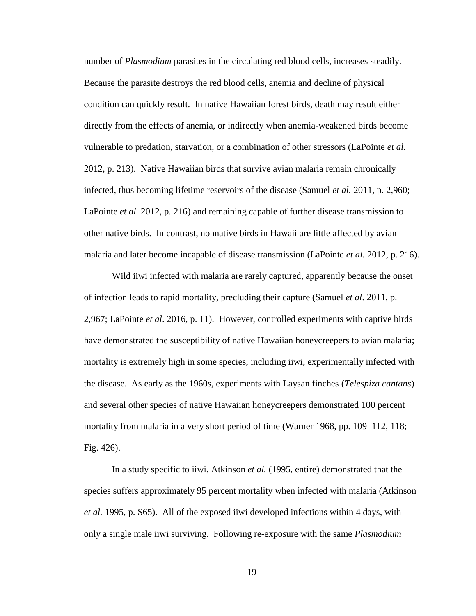number of *Plasmodium* parasites in the circulating red blood cells, increases steadily. Because the parasite destroys the red blood cells, anemia and decline of physical condition can quickly result. In native Hawaiian forest birds, death may result either directly from the effects of anemia, or indirectly when anemia-weakened birds become vulnerable to predation, starvation, or a combination of other stressors (LaPointe *et al.* 2012, p. 213). Native Hawaiian birds that survive avian malaria remain chronically infected, thus becoming lifetime reservoirs of the disease (Samuel *et al.* 2011, p. 2,960; LaPointe *et al.* 2012, p. 216) and remaining capable of further disease transmission to other native birds. In contrast, nonnative birds in Hawaii are little affected by avian malaria and later become incapable of disease transmission (LaPointe *et al.* 2012, p. 216).

Wild iiwi infected with malaria are rarely captured, apparently because the onset of infection leads to rapid mortality, precluding their capture (Samuel *et al*. 2011, p. 2,967; LaPointe *et al*. 2016, p. 11). However, controlled experiments with captive birds have demonstrated the susceptibility of native Hawaiian honeycreepers to avian malaria; mortality is extremely high in some species, including iiwi, experimentally infected with the disease. As early as the 1960s, experiments with Laysan finches (*Telespiza cantans*) and several other species of native Hawaiian honeycreepers demonstrated 100 percent mortality from malaria in a very short period of time (Warner 1968, pp. 109–112, 118; Fig. 426).

In a study specific to iiwi, Atkinson *et al.* (1995, entire) demonstrated that the species suffers approximately 95 percent mortality when infected with malaria (Atkinson *et al.* 1995, p. S65). All of the exposed iiwi developed infections within 4 days, with only a single male iiwi surviving. Following re-exposure with the same *Plasmodium*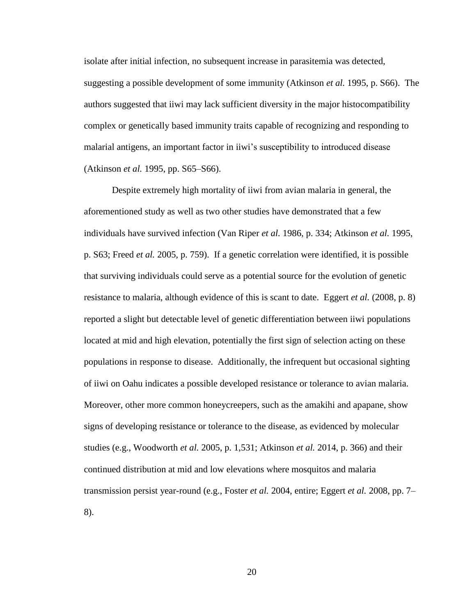isolate after initial infection, no subsequent increase in parasitemia was detected, suggesting a possible development of some immunity (Atkinson *et al.* 1995, p. S66). The authors suggested that iiwi may lack sufficient diversity in the major histocompatibility complex or genetically based immunity traits capable of recognizing and responding to malarial antigens, an important factor in iiwi's susceptibility to introduced disease (Atkinson *et al.* 1995, pp. S65–S66).

Despite extremely high mortality of iiwi from avian malaria in general, the aforementioned study as well as two other studies have demonstrated that a few individuals have survived infection (Van Riper *et al.* 1986, p. 334; Atkinson *et al.* 1995, p. S63; Freed *et al.* 2005, p. 759). If a genetic correlation were identified, it is possible that surviving individuals could serve as a potential source for the evolution of genetic resistance to malaria, although evidence of this is scant to date. Eggert *et al.* (2008, p. 8) reported a slight but detectable level of genetic differentiation between iiwi populations located at mid and high elevation, potentially the first sign of selection acting on these populations in response to disease. Additionally, the infrequent but occasional sighting of iiwi on Oahu indicates a possible developed resistance or tolerance to avian malaria. Moreover, other more common honeycreepers, such as the amakihi and apapane, show signs of developing resistance or tolerance to the disease, as evidenced by molecular studies (e.g., Woodworth *et al.* 2005, p. 1,531; Atkinson *et al.* 2014, p. 366) and their continued distribution at mid and low elevations where mosquitos and malaria transmission persist year-round (e.g., Foster *et al.* 2004, entire; Eggert *et al.* 2008, pp. 7– 8).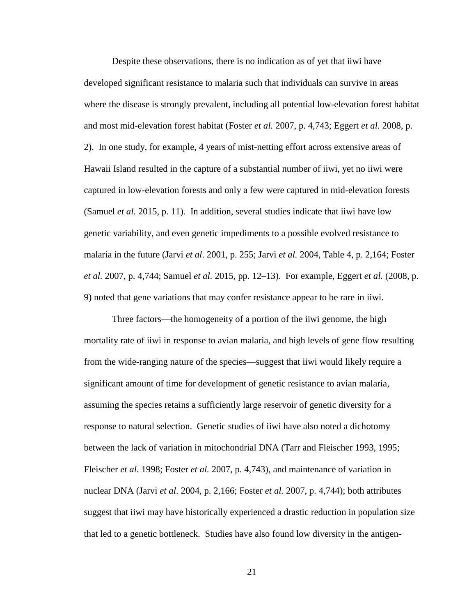Despite these observations, there is no indication as of yet that iiwi have developed significant resistance to malaria such that individuals can survive in areas where the disease is strongly prevalent, including all potential low-elevation forest habitat and most mid-elevation forest habitat (Foster *et al.* 2007, p. 4,743; Eggert *et al.* 2008, p. 2). In one study, for example, 4 years of mist-netting effort across extensive areas of Hawaii Island resulted in the capture of a substantial number of iiwi, yet no iiwi were captured in low-elevation forests and only a few were captured in mid-elevation forests (Samuel *et al.* 2015, p. 11). In addition, several studies indicate that iiwi have low genetic variability, and even genetic impediments to a possible evolved resistance to malaria in the future (Jarvi *et al*. 2001, p. 255; Jarvi *et al.* 2004, Table 4, p. 2,164; Foster *et al.* 2007, p. 4,744; Samuel *et al.* 2015, pp. 12–13). For example, Eggert *et al.* (2008, p. 9) noted that gene variations that may confer resistance appear to be rare in iiwi.

Three factors—the homogeneity of a portion of the iiwi genome, the high mortality rate of iiwi in response to avian malaria, and high levels of gene flow resulting from the wide-ranging nature of the species—suggest that iiwi would likely require a significant amount of time for development of genetic resistance to avian malaria, assuming the species retains a sufficiently large reservoir of genetic diversity for a response to natural selection. Genetic studies of iiwi have also noted a dichotomy between the lack of variation in mitochondrial DNA (Tarr and Fleischer 1993, 1995; Fleischer *et al.* 1998; Foster *et al.* 2007, p. 4,743), and maintenance of variation in nuclear DNA (Jarvi *et al*. 2004, p. 2,166; Foster *et al.* 2007, p. 4,744); both attributes suggest that iiwi may have historically experienced a drastic reduction in population size that led to a genetic bottleneck. Studies have also found low diversity in the antigen-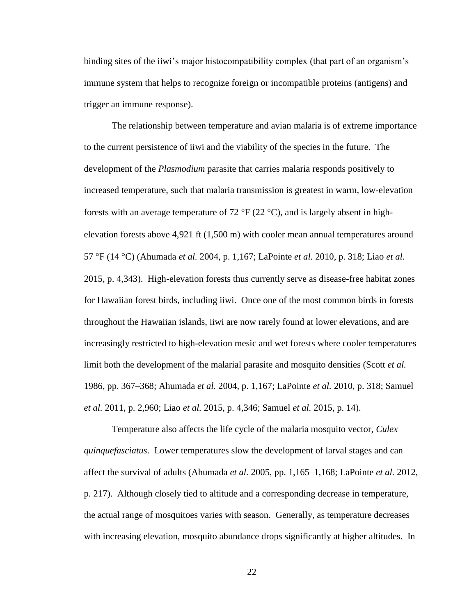binding sites of the iiwi's major histocompatibility complex (that part of an organism's immune system that helps to recognize foreign or incompatible proteins (antigens) and trigger an immune response).

The relationship between temperature and avian malaria is of extreme importance to the current persistence of iiwi and the viability of the species in the future. The development of the *Plasmodium* parasite that carries malaria responds positively to increased temperature, such that malaria transmission is greatest in warm, low-elevation forests with an average temperature of 72  $\rm{P}$  (22  $\rm{C}$ ), and is largely absent in highelevation forests above 4,921 ft (1,500 m) with cooler mean annual temperatures around 57 F (14 C) (Ahumada *et al.* 2004, p. 1,167; LaPointe *et al.* 2010, p. 318; Liao *et al.* 2015, p. 4,343). High-elevation forests thus currently serve as disease-free habitat zones for Hawaiian forest birds, including iiwi. Once one of the most common birds in forests throughout the Hawaiian islands, iiwi are now rarely found at lower elevations, and are increasingly restricted to high-elevation mesic and wet forests where cooler temperatures limit both the development of the malarial parasite and mosquito densities (Scott *et al.* 1986, pp. 367–368; Ahumada *et al.* 2004, p. 1,167; LaPointe *et al.* 2010, p. 318; Samuel *et al.* 2011, p. 2,960; Liao *et al.* 2015, p. 4,346; Samuel *et al.* 2015, p. 14).

Temperature also affects the life cycle of the malaria mosquito vector, *Culex quinquefasciatus*. Lower temperatures slow the development of larval stages and can affect the survival of adults (Ahumada *et al.* 2005, pp. 1,165–1,168; LaPointe *et al.* 2012, p. 217). Although closely tied to altitude and a corresponding decrease in temperature, the actual range of mosquitoes varies with season. Generally, as temperature decreases with increasing elevation, mosquito abundance drops significantly at higher altitudes. In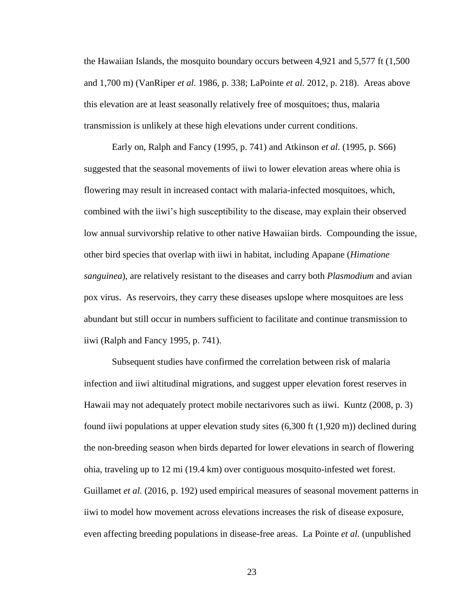the Hawaiian Islands, the mosquito boundary occurs between 4,921 and 5,577 ft (1,500 and 1,700 m) (VanRiper *et al.* 1986, p. 338; LaPointe *et al.* 2012, p. 218). Areas above this elevation are at least seasonally relatively free of mosquitoes; thus, malaria transmission is unlikely at these high elevations under current conditions.

Early on, Ralph and Fancy (1995, p. 741) and Atkinson *et al.* (1995, p. S66) suggested that the seasonal movements of iiwi to lower elevation areas where ohia is flowering may result in increased contact with malaria-infected mosquitoes, which, combined with the iiwi's high susceptibility to the disease, may explain their observed low annual survivorship relative to other native Hawaiian birds. Compounding the issue, other bird species that overlap with iiwi in habitat, including Apapane (*Himatione sanguinea*), are relatively resistant to the diseases and carry both *Plasmodium* and avian pox virus. As reservoirs, they carry these diseases upslope where mosquitoes are less abundant but still occur in numbers sufficient to facilitate and continue transmission to iiwi (Ralph and Fancy 1995, p. 741).

Subsequent studies have confirmed the correlation between risk of malaria infection and iiwi altitudinal migrations, and suggest upper elevation forest reserves in Hawaii may not adequately protect mobile nectarivores such as iiwi. Kuntz (2008, p. 3) found iiwi populations at upper elevation study sites (6,300 ft (1,920 m)) declined during the non-breeding season when birds departed for lower elevations in search of flowering ohia, traveling up to 12 mi (19.4 km) over contiguous mosquito-infested wet forest. Guillamet *et al.* (2016, p. 192) used empirical measures of seasonal movement patterns in iiwi to model how movement across elevations increases the risk of disease exposure, even affecting breeding populations in disease-free areas. La Pointe *et al.* (unpublished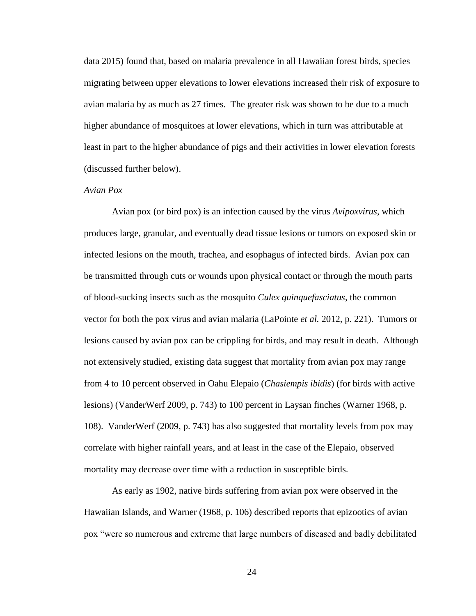data 2015) found that, based on malaria prevalence in all Hawaiian forest birds, species migrating between upper elevations to lower elevations increased their risk of exposure to avian malaria by as much as 27 times. The greater risk was shown to be due to a much higher abundance of mosquitoes at lower elevations, which in turn was attributable at least in part to the higher abundance of pigs and their activities in lower elevation forests (discussed further below).

#### *Avian Pox*

Avian pox (or bird pox) is an infection caused by the virus *Avipoxvirus*, which produces large, granular, and eventually dead tissue lesions or tumors on exposed skin or infected lesions on the mouth, trachea, and esophagus of infected birds. Avian pox can be transmitted through cuts or wounds upon physical contact or through the mouth parts of blood-sucking insects such as the mosquito *Culex quinquefasciatus*, the common vector for both the pox virus and avian malaria (LaPointe *et al.* 2012, p. 221). Tumors or lesions caused by avian pox can be crippling for birds, and may result in death. Although not extensively studied, existing data suggest that mortality from avian pox may range from 4 to 10 percent observed in Oahu Elepaio (*Chasiempis ibidis*) (for birds with active lesions) (VanderWerf 2009, p. 743) to 100 percent in Laysan finches (Warner 1968, p. 108). VanderWerf (2009, p. 743) has also suggested that mortality levels from pox may correlate with higher rainfall years, and at least in the case of the Elepaio, observed mortality may decrease over time with a reduction in susceptible birds.

As early as 1902, native birds suffering from avian pox were observed in the Hawaiian Islands, and Warner (1968, p. 106) described reports that epizootics of avian pox "were so numerous and extreme that large numbers of diseased and badly debilitated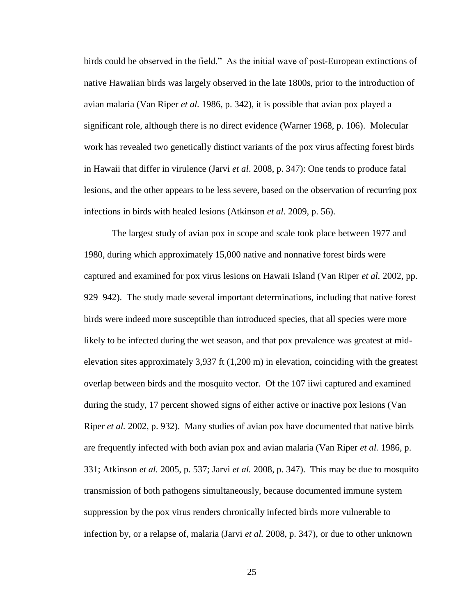birds could be observed in the field." As the initial wave of post-European extinctions of native Hawaiian birds was largely observed in the late 1800s, prior to the introduction of avian malaria (Van Riper *et al.* 1986, p. 342), it is possible that avian pox played a significant role, although there is no direct evidence (Warner 1968, p. 106). Molecular work has revealed two genetically distinct variants of the pox virus affecting forest birds in Hawaii that differ in virulence (Jarvi *et al*. 2008, p. 347): One tends to produce fatal lesions, and the other appears to be less severe, based on the observation of recurring pox infections in birds with healed lesions (Atkinson *et al.* 2009, p. 56).

The largest study of avian pox in scope and scale took place between 1977 and 1980, during which approximately 15,000 native and nonnative forest birds were captured and examined for pox virus lesions on Hawaii Island (Van Riper *et al.* 2002, pp. 929–942). The study made several important determinations, including that native forest birds were indeed more susceptible than introduced species, that all species were more likely to be infected during the wet season, and that pox prevalence was greatest at midelevation sites approximately 3,937 ft (1,200 m) in elevation, coinciding with the greatest overlap between birds and the mosquito vector. Of the 107 iiwi captured and examined during the study, 17 percent showed signs of either active or inactive pox lesions (Van Riper *et al.* 2002, p. 932). Many studies of avian pox have documented that native birds are frequently infected with both avian pox and avian malaria (Van Riper *et al.* 1986, p. 331; Atkinson *et al.* 2005, p. 537; Jarvi *et al.* 2008, p. 347). This may be due to mosquito transmission of both pathogens simultaneously, because documented immune system suppression by the pox virus renders chronically infected birds more vulnerable to infection by, or a relapse of, malaria (Jarvi *et al.* 2008, p. 347), or due to other unknown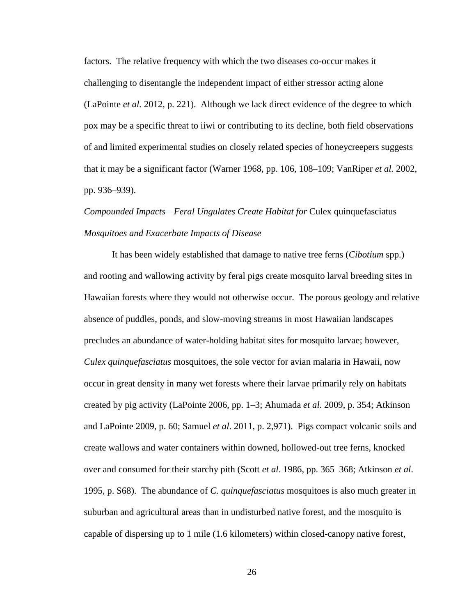factors. The relative frequency with which the two diseases co-occur makes it challenging to disentangle the independent impact of either stressor acting alone (LaPointe *et al.* 2012, p. 221). Although we lack direct evidence of the degree to which pox may be a specific threat to iiwi or contributing to its decline, both field observations of and limited experimental studies on closely related species of honeycreepers suggests that it may be a significant factor (Warner 1968, pp. 106, 108–109; VanRiper *et al.* 2002, pp. 936–939).

# *Compounded Impacts—Feral Ungulates Create Habitat for* Culex quinquefasciatus *Mosquitoes and Exacerbate Impacts of Disease*

It has been widely established that damage to native tree ferns (*Cibotium* spp.) and rooting and wallowing activity by feral pigs create mosquito larval breeding sites in Hawaiian forests where they would not otherwise occur. The porous geology and relative absence of puddles, ponds, and slow-moving streams in most Hawaiian landscapes precludes an abundance of water-holding habitat sites for mosquito larvae; however, *Culex quinquefasciatus* mosquitoes, the sole vector for avian malaria in Hawaii, now occur in great density in many wet forests where their larvae primarily rely on habitats created by pig activity (LaPointe 2006, pp. 1–3; Ahumada *et al*. 2009, p. 354; Atkinson and LaPointe 2009, p. 60; Samuel *et al*. 2011, p. 2,971). Pigs compact volcanic soils and create wallows and water containers within downed, hollowed-out tree ferns, knocked over and consumed for their starchy pith (Scott *et al*. 1986, pp. 365–368; Atkinson *et al*. 1995, p. S68). The abundance of *C. quinquefasciatus* mosquitoes is also much greater in suburban and agricultural areas than in undisturbed native forest, and the mosquito is capable of dispersing up to 1 mile (1.6 kilometers) within closed-canopy native forest,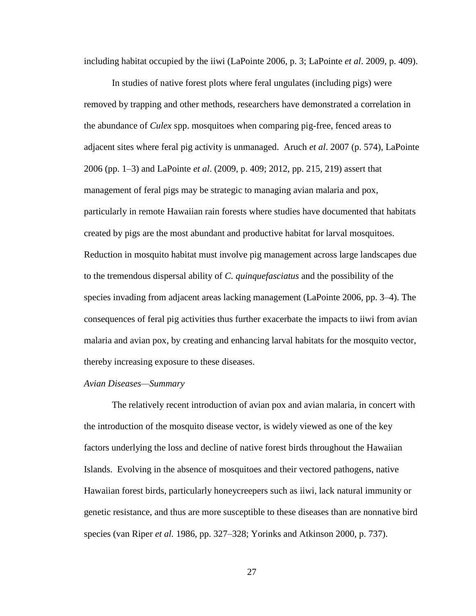including habitat occupied by the iiwi (LaPointe 2006, p. 3; LaPointe *et al*. 2009, p. 409).

In studies of native forest plots where feral ungulates (including pigs) were removed by trapping and other methods, researchers have demonstrated a correlation in the abundance of *Culex* spp. mosquitoes when comparing pig-free, fenced areas to adjacent sites where feral pig activity is unmanaged. Aruch *et al*. 2007 (p. 574), LaPointe 2006 (pp. 1–3) and LaPointe *et al*. (2009, p. 409; 2012, pp. 215, 219) assert that management of feral pigs may be strategic to managing avian malaria and pox, particularly in remote Hawaiian rain forests where studies have documented that habitats created by pigs are the most abundant and productive habitat for larval mosquitoes. Reduction in mosquito habitat must involve pig management across large landscapes due to the tremendous dispersal ability of *C. quinquefasciatus* and the possibility of the species invading from adjacent areas lacking management (LaPointe 2006, pp. 3–4). The consequences of feral pig activities thus further exacerbate the impacts to iiwi from avian malaria and avian pox, by creating and enhancing larval habitats for the mosquito vector, thereby increasing exposure to these diseases.

#### *Avian Diseases—Summary*

The relatively recent introduction of avian pox and avian malaria, in concert with the introduction of the mosquito disease vector, is widely viewed as one of the key factors underlying the loss and decline of native forest birds throughout the Hawaiian Islands. Evolving in the absence of mosquitoes and their vectored pathogens, native Hawaiian forest birds, particularly honeycreepers such as iiwi, lack natural immunity or genetic resistance, and thus are more susceptible to these diseases than are nonnative bird species (van Riper *et al.* 1986, pp. 327–328; Yorinks and Atkinson 2000, p. 737).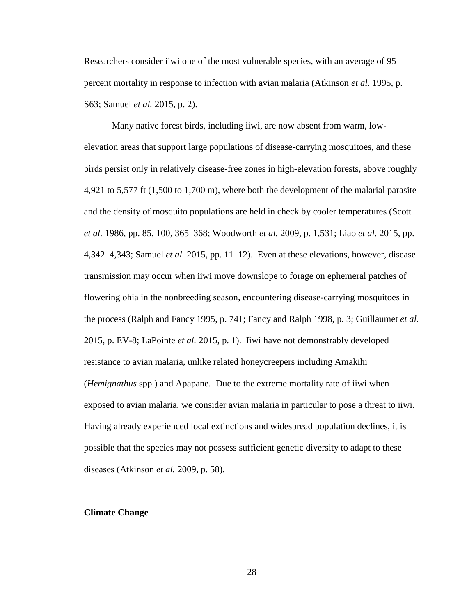Researchers consider iiwi one of the most vulnerable species, with an average of 95 percent mortality in response to infection with avian malaria (Atkinson *et al.* 1995, p. S63; Samuel *et al.* 2015, p. 2).

Many native forest birds, including iiwi, are now absent from warm, lowelevation areas that support large populations of disease-carrying mosquitoes, and these birds persist only in relatively disease-free zones in high-elevation forests, above roughly 4,921 to 5,577 ft (1,500 to 1,700 m), where both the development of the malarial parasite and the density of mosquito populations are held in check by cooler temperatures (Scott *et al.* 1986, pp. 85, 100, 365–368; Woodworth *et al.* 2009, p. 1,531; Liao *et al.* 2015, pp. 4,342–4,343; Samuel *et al.* 2015, pp. 11–12). Even at these elevations, however, disease transmission may occur when iiwi move downslope to forage on ephemeral patches of flowering ohia in the nonbreeding season, encountering disease-carrying mosquitoes in the process (Ralph and Fancy 1995, p. 741; Fancy and Ralph 1998, p. 3; Guillaumet *et al.* 2015, p. EV-8; LaPointe *et al.* 2015, p. 1). Iiwi have not demonstrably developed resistance to avian malaria, unlike related honeycreepers including Amakihi (*Hemignathus* spp.) and Apapane. Due to the extreme mortality rate of iiwi when exposed to avian malaria, we consider avian malaria in particular to pose a threat to iiwi. Having already experienced local extinctions and widespread population declines, it is possible that the species may not possess sufficient genetic diversity to adapt to these diseases (Atkinson *et al.* 2009, p. 58).

## **Climate Change**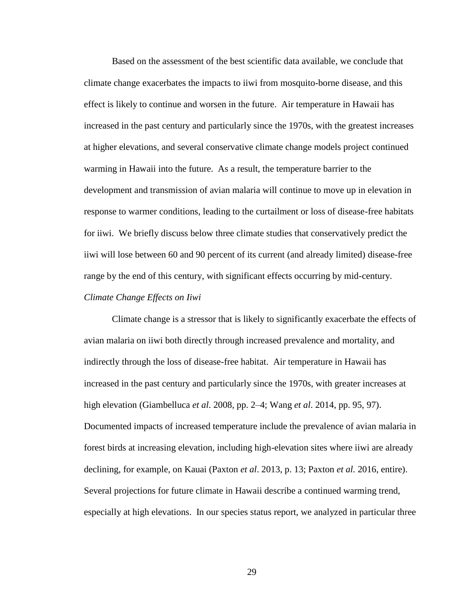Based on the assessment of the best scientific data available, we conclude that climate change exacerbates the impacts to iiwi from mosquito-borne disease, and this effect is likely to continue and worsen in the future. Air temperature in Hawaii has increased in the past century and particularly since the 1970s, with the greatest increases at higher elevations, and several conservative climate change models project continued warming in Hawaii into the future. As a result, the temperature barrier to the development and transmission of avian malaria will continue to move up in elevation in response to warmer conditions, leading to the curtailment or loss of disease-free habitats for iiwi. We briefly discuss below three climate studies that conservatively predict the iiwi will lose between 60 and 90 percent of its current (and already limited) disease-free range by the end of this century, with significant effects occurring by mid-century.

## *Climate Change Effects on Iiwi*

Climate change is a stressor that is likely to significantly exacerbate the effects of avian malaria on iiwi both directly through increased prevalence and mortality, and indirectly through the loss of disease-free habitat. Air temperature in Hawaii has increased in the past century and particularly since the 1970s, with greater increases at high elevation (Giambelluca *et al*. 2008, pp. 2–4; Wang *et al*. 2014, pp. 95, 97). Documented impacts of increased temperature include the prevalence of avian malaria in forest birds at increasing elevation, including high-elevation sites where iiwi are already declining, for example, on Kauai (Paxton *et al*. 2013, p. 13; Paxton *et al.* 2016, entire). Several projections for future climate in Hawaii describe a continued warming trend, especially at high elevations. In our species status report, we analyzed in particular three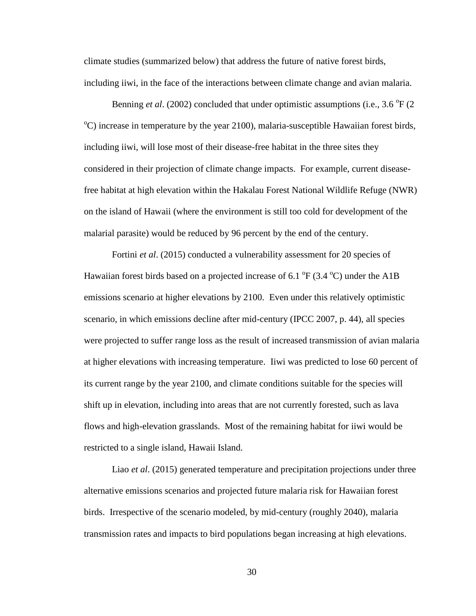climate studies (summarized below) that address the future of native forest birds, including iiwi, in the face of the interactions between climate change and avian malaria.

Benning *et al.* (2002) concluded that under optimistic assumptions (i.e., 3.6 <sup>o</sup>F (2)  $\rm{^oC}$ ) increase in temperature by the year 2100), malaria-susceptible Hawaiian forest birds, including iiwi, will lose most of their disease-free habitat in the three sites they considered in their projection of climate change impacts. For example, current diseasefree habitat at high elevation within the Hakalau Forest National Wildlife Refuge (NWR) on the island of Hawaii (where the environment is still too cold for development of the malarial parasite) would be reduced by 96 percent by the end of the century.

Fortini *et al.* (2015) conducted a vulnerability assessment for 20 species of Hawaiian forest birds based on a projected increase of 6.1  $\rm{^{\circ}F}$  (3.4  $\rm{^{\circ}C}$ ) under the A1B emissions scenario at higher elevations by 2100. Even under this relatively optimistic scenario, in which emissions decline after mid-century (IPCC 2007, p. 44), all species were projected to suffer range loss as the result of increased transmission of avian malaria at higher elevations with increasing temperature. Iiwi was predicted to lose 60 percent of its current range by the year 2100, and climate conditions suitable for the species will shift up in elevation, including into areas that are not currently forested, such as lava flows and high-elevation grasslands. Most of the remaining habitat for iiwi would be restricted to a single island, Hawaii Island.

Liao *et al*. (2015) generated temperature and precipitation projections under three alternative emissions scenarios and projected future malaria risk for Hawaiian forest birds. Irrespective of the scenario modeled, by mid-century (roughly 2040), malaria transmission rates and impacts to bird populations began increasing at high elevations.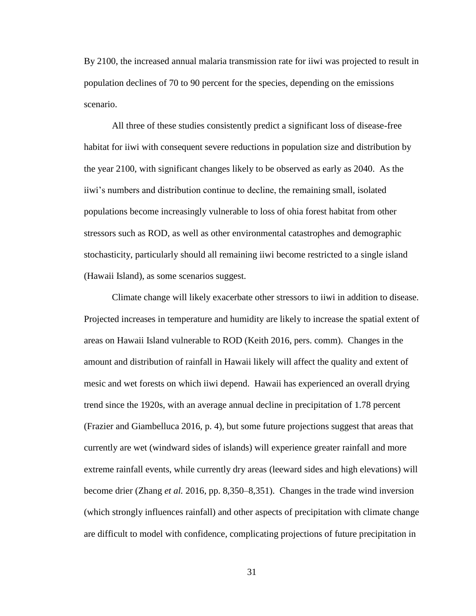By 2100, the increased annual malaria transmission rate for iiwi was projected to result in population declines of 70 to 90 percent for the species, depending on the emissions scenario.

All three of these studies consistently predict a significant loss of disease-free habitat for iiwi with consequent severe reductions in population size and distribution by the year 2100, with significant changes likely to be observed as early as 2040. As the iiwi's numbers and distribution continue to decline, the remaining small, isolated populations become increasingly vulnerable to loss of ohia forest habitat from other stressors such as ROD, as well as other environmental catastrophes and demographic stochasticity, particularly should all remaining iiwi become restricted to a single island (Hawaii Island), as some scenarios suggest.

Climate change will likely exacerbate other stressors to iiwi in addition to disease. Projected increases in temperature and humidity are likely to increase the spatial extent of areas on Hawaii Island vulnerable to ROD (Keith 2016, pers. comm). Changes in the amount and distribution of rainfall in Hawaii likely will affect the quality and extent of mesic and wet forests on which iiwi depend. Hawaii has experienced an overall drying trend since the 1920s, with an average annual decline in precipitation of 1.78 percent (Frazier and Giambelluca 2016, p. 4), but some future projections suggest that areas that currently are wet (windward sides of islands) will experience greater rainfall and more extreme rainfall events, while currently dry areas (leeward sides and high elevations) will become drier (Zhang *et al.* 2016, pp. 8,350–8,351). Changes in the trade wind inversion (which strongly influences rainfall) and other aspects of precipitation with climate change are difficult to model with confidence, complicating projections of future precipitation in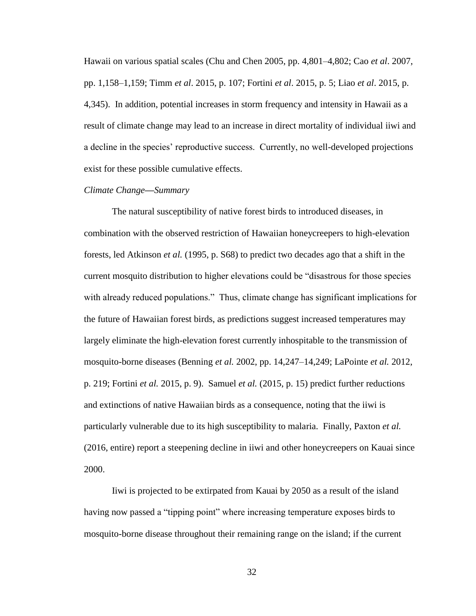Hawaii on various spatial scales (Chu and Chen 2005, pp. 4,801–4,802; Cao *et al*. 2007, pp. 1,158–1,159; Timm *et al*. 2015, p. 107; Fortini *et al*. 2015, p. 5; Liao *et al*. 2015, p. 4,345). In addition, potential increases in storm frequency and intensity in Hawaii as a result of climate change may lead to an increase in direct mortality of individual iiwi and a decline in the species' reproductive success. Currently, no well-developed projections exist for these possible cumulative effects.

#### *Climate Change—Summary*

The natural susceptibility of native forest birds to introduced diseases, in combination with the observed restriction of Hawaiian honeycreepers to high-elevation forests, led Atkinson *et al.* (1995, p. S68) to predict two decades ago that a shift in the current mosquito distribution to higher elevations could be "disastrous for those species with already reduced populations." Thus, climate change has significant implications for the future of Hawaiian forest birds, as predictions suggest increased temperatures may largely eliminate the high-elevation forest currently inhospitable to the transmission of mosquito-borne diseases (Benning *et al.* 2002, pp. 14,247–14,249; LaPointe *et al.* 2012, p. 219; Fortini *et al.* 2015, p. 9). Samuel *et al.* (2015, p. 15) predict further reductions and extinctions of native Hawaiian birds as a consequence, noting that the iiwi is particularly vulnerable due to its high susceptibility to malaria. Finally, Paxton *et al.*  (2016, entire) report a steepening decline in iiwi and other honeycreepers on Kauai since 2000.

Iiwi is projected to be extirpated from Kauai by 2050 as a result of the island having now passed a "tipping point" where increasing temperature exposes birds to mosquito-borne disease throughout their remaining range on the island; if the current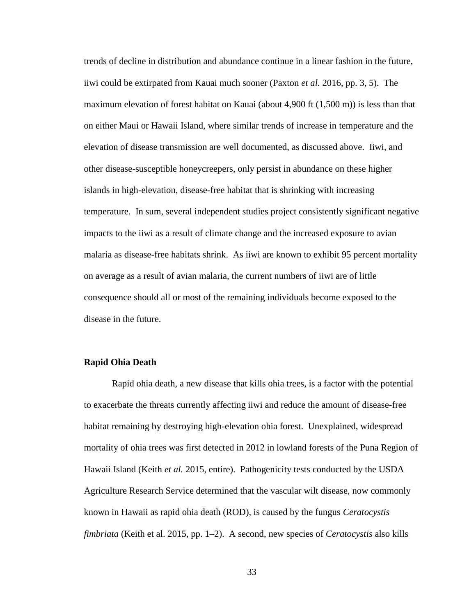trends of decline in distribution and abundance continue in a linear fashion in the future, iiwi could be extirpated from Kauai much sooner (Paxton *et al.* 2016, pp. 3, 5). The maximum elevation of forest habitat on Kauai (about 4,900 ft (1,500 m)) is less than that on either Maui or Hawaii Island, where similar trends of increase in temperature and the elevation of disease transmission are well documented, as discussed above. Iiwi, and other disease-susceptible honeycreepers, only persist in abundance on these higher islands in high-elevation, disease-free habitat that is shrinking with increasing temperature. In sum, several independent studies project consistently significant negative impacts to the iiwi as a result of climate change and the increased exposure to avian malaria as disease-free habitats shrink. As iiwi are known to exhibit 95 percent mortality on average as a result of avian malaria, the current numbers of iiwi are of little consequence should all or most of the remaining individuals become exposed to the disease in the future.

## **Rapid Ohia Death**

Rapid ohia death, a new disease that kills ohia trees, is a factor with the potential to exacerbate the threats currently affecting iiwi and reduce the amount of disease-free habitat remaining by destroying high-elevation ohia forest. Unexplained, widespread mortality of ohia trees was first detected in 2012 in lowland forests of the Puna Region of Hawaii Island (Keith *et al.* 2015, entire). Pathogenicity tests conducted by the USDA Agriculture Research Service determined that the vascular wilt disease, now commonly known in Hawaii as rapid ohia death (ROD), is caused by the fungus *Ceratocystis fimbriata* (Keith et al. 2015, pp. 1–2). A second, new species of *Ceratocystis* also kills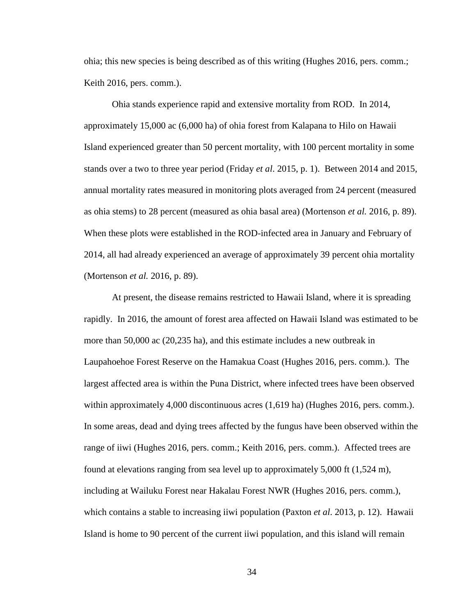ohia; this new species is being described as of this writing (Hughes 2016, pers. comm.; Keith 2016, pers. comm.).

Ohia stands experience rapid and extensive mortality from ROD. In 2014, approximately 15,000 ac (6,000 ha) of ohia forest from Kalapana to Hilo on Hawaii Island experienced greater than 50 percent mortality, with 100 percent mortality in some stands over a two to three year period (Friday *et al*. 2015, p. 1). Between 2014 and 2015, annual mortality rates measured in monitoring plots averaged from 24 percent (measured as ohia stems) to 28 percent (measured as ohia basal area) (Mortenson *et al.* 2016, p. 89). When these plots were established in the ROD-infected area in January and February of 2014, all had already experienced an average of approximately 39 percent ohia mortality (Mortenson *et al.* 2016, p. 89).

At present, the disease remains restricted to Hawaii Island, where it is spreading rapidly. In 2016, the amount of forest area affected on Hawaii Island was estimated to be more than 50,000 ac (20,235 ha), and this estimate includes a new outbreak in Laupahoehoe Forest Reserve on the Hamakua Coast (Hughes 2016, pers. comm.). The largest affected area is within the Puna District, where infected trees have been observed within approximately 4,000 discontinuous acres (1,619 ha) (Hughes 2016, pers. comm.). In some areas, dead and dying trees affected by the fungus have been observed within the range of iiwi (Hughes 2016, pers. comm.; Keith 2016, pers. comm.). Affected trees are found at elevations ranging from sea level up to approximately 5,000 ft (1,524 m), including at Wailuku Forest near Hakalau Forest NWR (Hughes 2016, pers. comm.), which contains a stable to increasing iiwi population (Paxton *et al*. 2013, p. 12). Hawaii Island is home to 90 percent of the current iiwi population, and this island will remain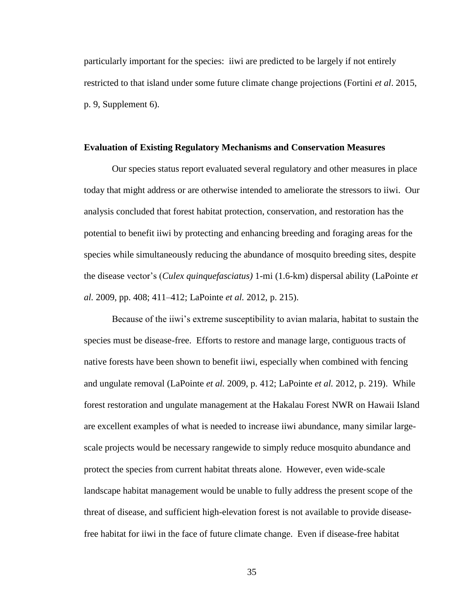particularly important for the species: iiwi are predicted to be largely if not entirely restricted to that island under some future climate change projections (Fortini *et al*. 2015, p. 9, Supplement 6).

#### **Evaluation of Existing Regulatory Mechanisms and Conservation Measures**

Our species status report evaluated several regulatory and other measures in place today that might address or are otherwise intended to ameliorate the stressors to iiwi. Our analysis concluded that forest habitat protection, conservation, and restoration has the potential to benefit iiwi by protecting and enhancing breeding and foraging areas for the species while simultaneously reducing the abundance of mosquito breeding sites, despite the disease vector's (*Culex quinquefasciatus)* 1-mi (1.6-km) dispersal ability (LaPointe *et al.* 2009, pp. 408; 411–412; LaPointe *et al.* 2012, p. 215).

Because of the iiwi's extreme susceptibility to avian malaria, habitat to sustain the species must be disease-free. Efforts to restore and manage large, contiguous tracts of native forests have been shown to benefit iiwi, especially when combined with fencing and ungulate removal (LaPointe *et al.* 2009, p. 412; LaPointe *et al.* 2012, p. 219). While forest restoration and ungulate management at the Hakalau Forest NWR on Hawaii Island are excellent examples of what is needed to increase iiwi abundance, many similar largescale projects would be necessary rangewide to simply reduce mosquito abundance and protect the species from current habitat threats alone. However, even wide-scale landscape habitat management would be unable to fully address the present scope of the threat of disease, and sufficient high-elevation forest is not available to provide diseasefree habitat for iiwi in the face of future climate change. Even if disease-free habitat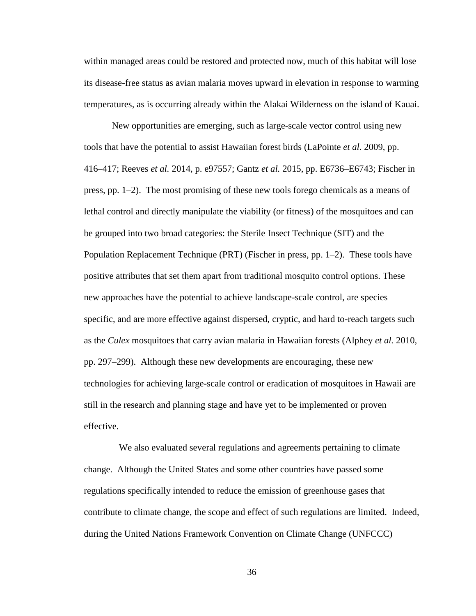within managed areas could be restored and protected now, much of this habitat will lose its disease-free status as avian malaria moves upward in elevation in response to warming temperatures, as is occurring already within the Alakai Wilderness on the island of Kauai.

New opportunities are emerging, such as large-scale vector control using new tools that have the potential to assist Hawaiian forest birds (LaPointe *et al.* 2009, pp. 416–417; Reeves *et al.* 2014, p. e97557; Gantz *et al.* 2015, pp. E6736–E6743; Fischer in press, pp. 1–2). The most promising of these new tools forego chemicals as a means of lethal control and directly manipulate the viability (or fitness) of the mosquitoes and can be grouped into two broad categories: the Sterile Insect Technique (SIT) and the Population Replacement Technique (PRT) (Fischer in press, pp. 1–2). These tools have positive attributes that set them apart from traditional mosquito control options. These new approaches have the potential to achieve landscape-scale control, are species specific, and are more effective against dispersed, cryptic, and hard to-reach targets such as the *Culex* mosquitoes that carry avian malaria in Hawaiian forests (Alphey *et al.* 2010, pp. 297–299). Although these new developments are encouraging, these new technologies for achieving large-scale control or eradication of mosquitoes in Hawaii are still in the research and planning stage and have yet to be implemented or proven effective.

 We also evaluated several regulations and agreements pertaining to climate change. Although the United States and some other countries have passed some regulations specifically intended to reduce the emission of greenhouse gases that contribute to climate change, the scope and effect of such regulations are limited. Indeed, during the United Nations Framework Convention on Climate Change (UNFCCC)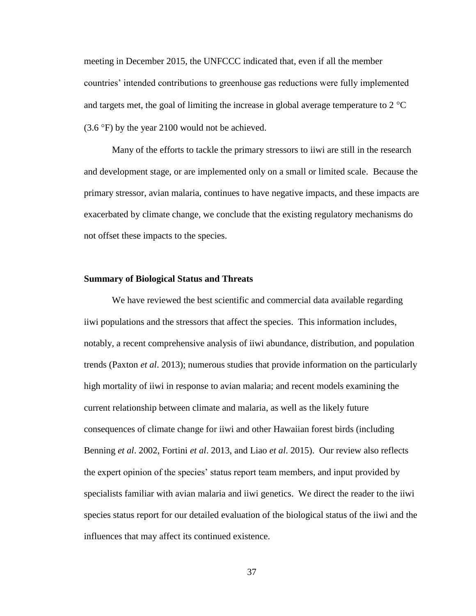meeting in December 2015, the UNFCCC indicated that, even if all the member countries' intended contributions to greenhouse gas reductions were fully implemented and targets met, the goal of limiting the increase in global average temperature to  $2^{\circ}C$  $(3.6 \text{°F})$  by the year 2100 would not be achieved.

Many of the efforts to tackle the primary stressors to iiwi are still in the research and development stage, or are implemented only on a small or limited scale. Because the primary stressor, avian malaria, continues to have negative impacts, and these impacts are exacerbated by climate change, we conclude that the existing regulatory mechanisms do not offset these impacts to the species.

## **Summary of Biological Status and Threats**

We have reviewed the best scientific and commercial data available regarding iiwi populations and the stressors that affect the species. This information includes, notably, a recent comprehensive analysis of iiwi abundance, distribution, and population trends (Paxton *et al*. 2013); numerous studies that provide information on the particularly high mortality of iiwi in response to avian malaria; and recent models examining the current relationship between climate and malaria, as well as the likely future consequences of climate change for iiwi and other Hawaiian forest birds (including Benning *et al*. 2002, Fortini *et al*. 2013, and Liao *et al*. 2015). Our review also reflects the expert opinion of the species' status report team members, and input provided by specialists familiar with avian malaria and iiwi genetics. We direct the reader to the iiwi species status report for our detailed evaluation of the biological status of the iiwi and the influences that may affect its continued existence.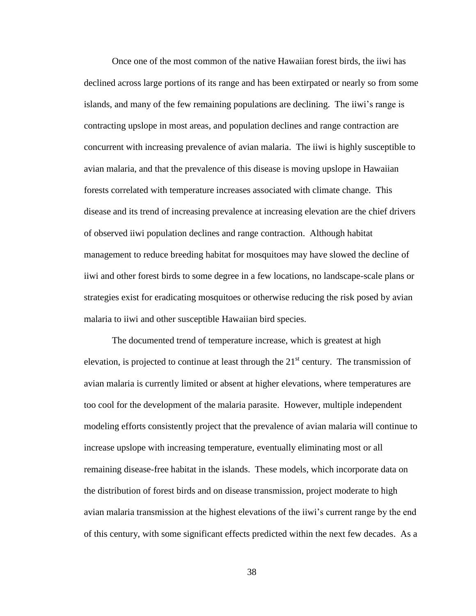Once one of the most common of the native Hawaiian forest birds, the iiwi has declined across large portions of its range and has been extirpated or nearly so from some islands, and many of the few remaining populations are declining. The iiwi's range is contracting upslope in most areas, and population declines and range contraction are concurrent with increasing prevalence of avian malaria. The iiwi is highly susceptible to avian malaria, and that the prevalence of this disease is moving upslope in Hawaiian forests correlated with temperature increases associated with climate change. This disease and its trend of increasing prevalence at increasing elevation are the chief drivers of observed iiwi population declines and range contraction. Although habitat management to reduce breeding habitat for mosquitoes may have slowed the decline of iiwi and other forest birds to some degree in a few locations, no landscape-scale plans or strategies exist for eradicating mosquitoes or otherwise reducing the risk posed by avian malaria to iiwi and other susceptible Hawaiian bird species.

The documented trend of temperature increase, which is greatest at high elevation, is projected to continue at least through the  $21<sup>st</sup>$  century. The transmission of avian malaria is currently limited or absent at higher elevations, where temperatures are too cool for the development of the malaria parasite. However, multiple independent modeling efforts consistently project that the prevalence of avian malaria will continue to increase upslope with increasing temperature, eventually eliminating most or all remaining disease-free habitat in the islands. These models, which incorporate data on the distribution of forest birds and on disease transmission, project moderate to high avian malaria transmission at the highest elevations of the iiwi's current range by the end of this century, with some significant effects predicted within the next few decades. As a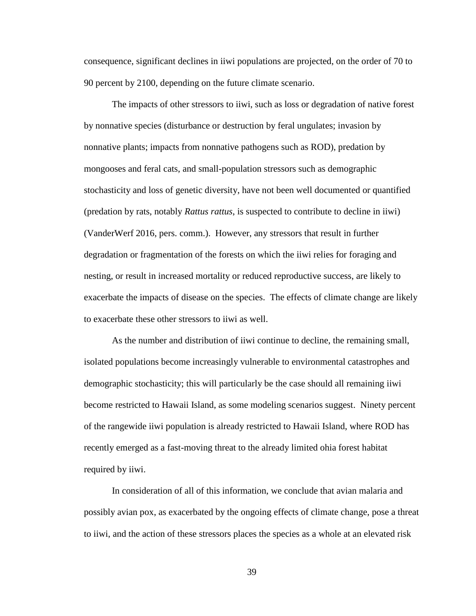consequence, significant declines in iiwi populations are projected, on the order of 70 to 90 percent by 2100, depending on the future climate scenario.

The impacts of other stressors to iiwi, such as loss or degradation of native forest by nonnative species (disturbance or destruction by feral ungulates; invasion by nonnative plants; impacts from nonnative pathogens such as ROD), predation by mongooses and feral cats, and small-population stressors such as demographic stochasticity and loss of genetic diversity, have not been well documented or quantified (predation by rats, notably *Rattus rattus*, is suspected to contribute to decline in iiwi) (VanderWerf 2016, pers. comm.). However, any stressors that result in further degradation or fragmentation of the forests on which the iiwi relies for foraging and nesting, or result in increased mortality or reduced reproductive success, are likely to exacerbate the impacts of disease on the species. The effects of climate change are likely to exacerbate these other stressors to iiwi as well.

As the number and distribution of iiwi continue to decline, the remaining small, isolated populations become increasingly vulnerable to environmental catastrophes and demographic stochasticity; this will particularly be the case should all remaining iiwi become restricted to Hawaii Island, as some modeling scenarios suggest. Ninety percent of the rangewide iiwi population is already restricted to Hawaii Island, where ROD has recently emerged as a fast-moving threat to the already limited ohia forest habitat required by iiwi.

In consideration of all of this information, we conclude that avian malaria and possibly avian pox, as exacerbated by the ongoing effects of climate change, pose a threat to iiwi, and the action of these stressors places the species as a whole at an elevated risk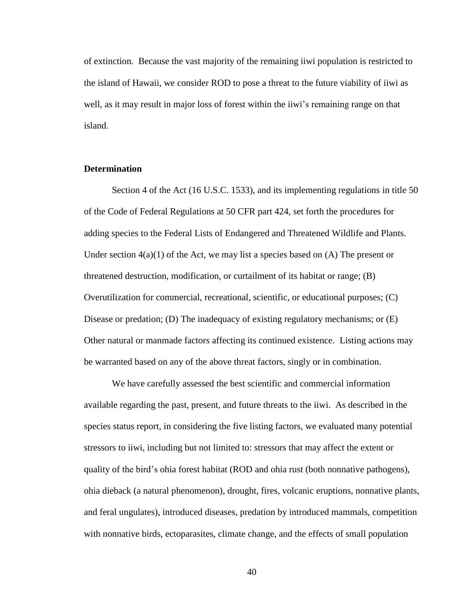of extinction. Because the vast majority of the remaining iiwi population is restricted to the island of Hawaii, we consider ROD to pose a threat to the future viability of iiwi as well, as it may result in major loss of forest within the iiwi's remaining range on that island.

## **Determination**

Section 4 of the Act (16 U.S.C. 1533), and its implementing regulations in title 50 of the Code of Federal Regulations at 50 CFR part 424, set forth the procedures for adding species to the Federal Lists of Endangered and Threatened Wildlife and Plants. Under section  $4(a)(1)$  of the Act, we may list a species based on (A) The present or threatened destruction, modification, or curtailment of its habitat or range; (B) Overutilization for commercial, recreational, scientific, or educational purposes; (C) Disease or predation; (D) The inadequacy of existing regulatory mechanisms; or (E) Other natural or manmade factors affecting its continued existence. Listing actions may be warranted based on any of the above threat factors, singly or in combination.

We have carefully assessed the best scientific and commercial information available regarding the past, present, and future threats to the iiwi. As described in the species status report, in considering the five listing factors, we evaluated many potential stressors to iiwi, including but not limited to: stressors that may affect the extent or quality of the bird's ohia forest habitat (ROD and ohia rust (both nonnative pathogens), ohia dieback (a natural phenomenon), drought, fires, volcanic eruptions, nonnative plants, and feral ungulates), introduced diseases, predation by introduced mammals, competition with nonnative birds, ectoparasites, climate change, and the effects of small population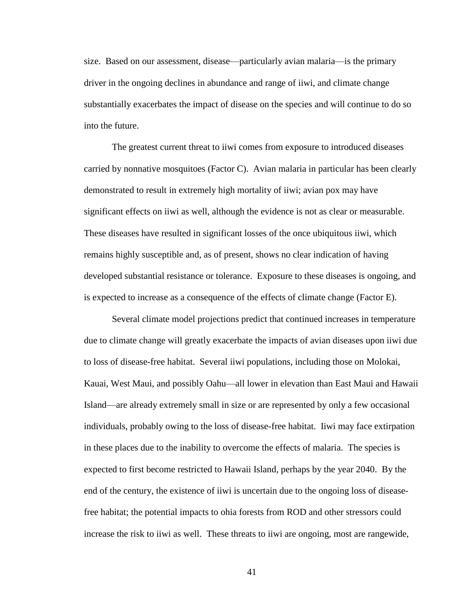size. Based on our assessment, disease—particularly avian malaria—is the primary driver in the ongoing declines in abundance and range of iiwi, and climate change substantially exacerbates the impact of disease on the species and will continue to do so into the future.

The greatest current threat to iiwi comes from exposure to introduced diseases carried by nonnative mosquitoes (Factor C). Avian malaria in particular has been clearly demonstrated to result in extremely high mortality of iiwi; avian pox may have significant effects on iiwi as well, although the evidence is not as clear or measurable. These diseases have resulted in significant losses of the once ubiquitous iiwi, which remains highly susceptible and, as of present, shows no clear indication of having developed substantial resistance or tolerance. Exposure to these diseases is ongoing, and is expected to increase as a consequence of the effects of climate change (Factor E).

Several climate model projections predict that continued increases in temperature due to climate change will greatly exacerbate the impacts of avian diseases upon iiwi due to loss of disease-free habitat. Several iiwi populations, including those on Molokai, Kauai, West Maui, and possibly Oahu—all lower in elevation than East Maui and Hawaii Island—are already extremely small in size or are represented by only a few occasional individuals, probably owing to the loss of disease-free habitat. Iiwi may face extirpation in these places due to the inability to overcome the effects of malaria. The species is expected to first become restricted to Hawaii Island, perhaps by the year 2040. By the end of the century, the existence of iiwi is uncertain due to the ongoing loss of diseasefree habitat; the potential impacts to ohia forests from ROD and other stressors could increase the risk to iiwi as well. These threats to iiwi are ongoing, most are rangewide,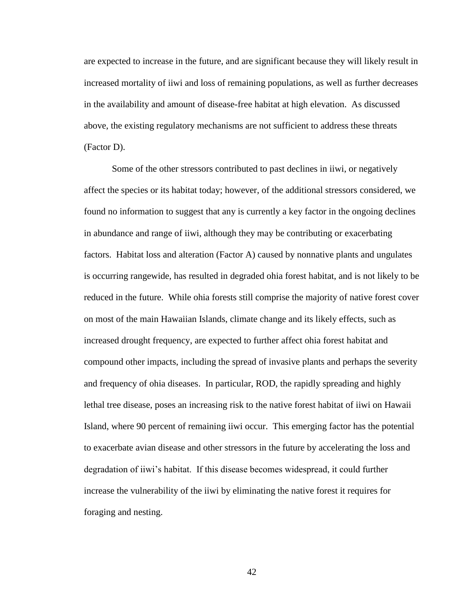are expected to increase in the future, and are significant because they will likely result in increased mortality of iiwi and loss of remaining populations, as well as further decreases in the availability and amount of disease-free habitat at high elevation. As discussed above, the existing regulatory mechanisms are not sufficient to address these threats (Factor D).

Some of the other stressors contributed to past declines in iiwi, or negatively affect the species or its habitat today; however, of the additional stressors considered, we found no information to suggest that any is currently a key factor in the ongoing declines in abundance and range of iiwi, although they may be contributing or exacerbating factors. Habitat loss and alteration (Factor A) caused by nonnative plants and ungulates is occurring rangewide, has resulted in degraded ohia forest habitat, and is not likely to be reduced in the future. While ohia forests still comprise the majority of native forest cover on most of the main Hawaiian Islands, climate change and its likely effects, such as increased drought frequency, are expected to further affect ohia forest habitat and compound other impacts, including the spread of invasive plants and perhaps the severity and frequency of ohia diseases. In particular, ROD, the rapidly spreading and highly lethal tree disease, poses an increasing risk to the native forest habitat of iiwi on Hawaii Island, where 90 percent of remaining iiwi occur. This emerging factor has the potential to exacerbate avian disease and other stressors in the future by accelerating the loss and degradation of iiwi's habitat. If this disease becomes widespread, it could further increase the vulnerability of the iiwi by eliminating the native forest it requires for foraging and nesting.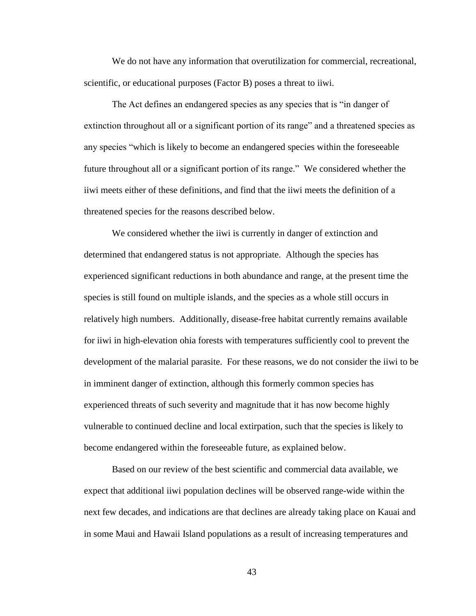We do not have any information that overutilization for commercial, recreational, scientific, or educational purposes (Factor B) poses a threat to iiwi.

The Act defines an endangered species as any species that is "in danger of extinction throughout all or a significant portion of its range" and a threatened species as any species "which is likely to become an endangered species within the foreseeable future throughout all or a significant portion of its range." We considered whether the iiwi meets either of these definitions, and find that the iiwi meets the definition of a threatened species for the reasons described below.

We considered whether the iiwi is currently in danger of extinction and determined that endangered status is not appropriate. Although the species has experienced significant reductions in both abundance and range, at the present time the species is still found on multiple islands, and the species as a whole still occurs in relatively high numbers. Additionally, disease-free habitat currently remains available for iiwi in high-elevation ohia forests with temperatures sufficiently cool to prevent the development of the malarial parasite. For these reasons, we do not consider the iiwi to be in imminent danger of extinction, although this formerly common species has experienced threats of such severity and magnitude that it has now become highly vulnerable to continued decline and local extirpation, such that the species is likely to become endangered within the foreseeable future, as explained below.

Based on our review of the best scientific and commercial data available, we expect that additional iiwi population declines will be observed range-wide within the next few decades, and indications are that declines are already taking place on Kauai and in some Maui and Hawaii Island populations as a result of increasing temperatures and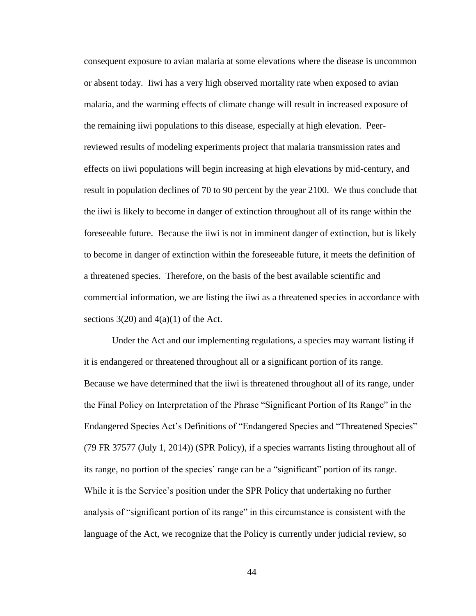consequent exposure to avian malaria at some elevations where the disease is uncommon or absent today. Iiwi has a very high observed mortality rate when exposed to avian malaria, and the warming effects of climate change will result in increased exposure of the remaining iiwi populations to this disease, especially at high elevation. Peerreviewed results of modeling experiments project that malaria transmission rates and effects on iiwi populations will begin increasing at high elevations by mid-century, and result in population declines of 70 to 90 percent by the year 2100. We thus conclude that the iiwi is likely to become in danger of extinction throughout all of its range within the foreseeable future. Because the iiwi is not in imminent danger of extinction, but is likely to become in danger of extinction within the foreseeable future, it meets the definition of a threatened species. Therefore, on the basis of the best available scientific and commercial information, we are listing the iiwi as a threatened species in accordance with sections  $3(20)$  and  $4(a)(1)$  of the Act.

Under the Act and our implementing regulations, a species may warrant listing if it is endangered or threatened throughout all or a significant portion of its range. Because we have determined that the iiwi is threatened throughout all of its range, under the Final Policy on Interpretation of the Phrase "Significant Portion of Its Range" in the Endangered Species Act's Definitions of "Endangered Species and "Threatened Species" (79 FR 37577 (July 1, 2014)) (SPR Policy), if a species warrants listing throughout all of its range, no portion of the species' range can be a "significant" portion of its range. While it is the Service's position under the SPR Policy that undertaking no further analysis of "significant portion of its range" in this circumstance is consistent with the language of the Act, we recognize that the Policy is currently under judicial review, so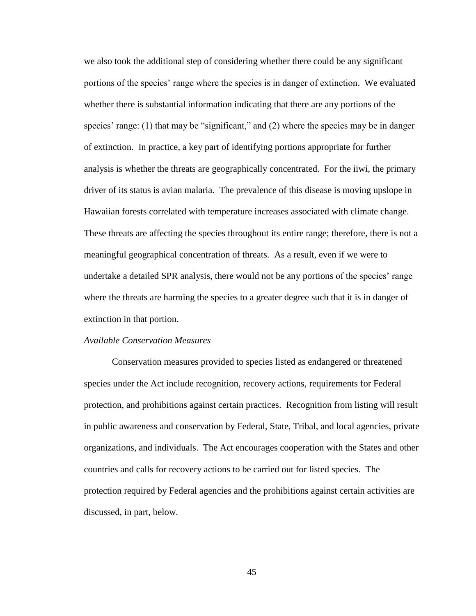we also took the additional step of considering whether there could be any significant portions of the species' range where the species is in danger of extinction. We evaluated whether there is substantial information indicating that there are any portions of the species' range: (1) that may be "significant," and (2) where the species may be in danger of extinction. In practice, a key part of identifying portions appropriate for further analysis is whether the threats are geographically concentrated. For the iiwi, the primary driver of its status is avian malaria. The prevalence of this disease is moving upslope in Hawaiian forests correlated with temperature increases associated with climate change. These threats are affecting the species throughout its entire range; therefore, there is not a meaningful geographical concentration of threats. As a result, even if we were to undertake a detailed SPR analysis, there would not be any portions of the species' range where the threats are harming the species to a greater degree such that it is in danger of extinction in that portion.

#### *Available Conservation Measures*

Conservation measures provided to species listed as endangered or threatened species under the Act include recognition, recovery actions, requirements for Federal protection, and prohibitions against certain practices. Recognition from listing will result in public awareness and conservation by Federal, State, Tribal, and local agencies, private organizations, and individuals. The Act encourages cooperation with the States and other countries and calls for recovery actions to be carried out for listed species. The protection required by Federal agencies and the prohibitions against certain activities are discussed, in part, below.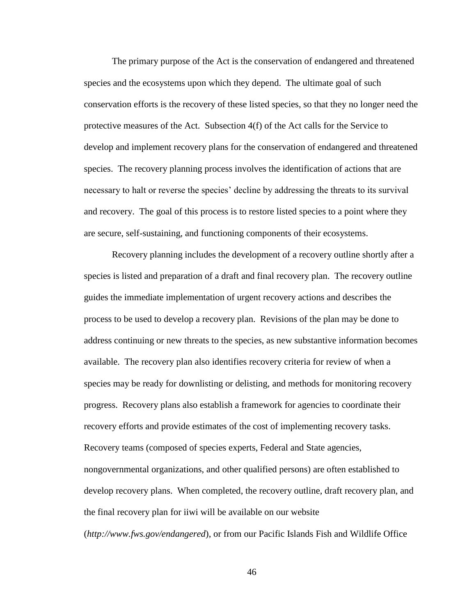The primary purpose of the Act is the conservation of endangered and threatened species and the ecosystems upon which they depend. The ultimate goal of such conservation efforts is the recovery of these listed species, so that they no longer need the protective measures of the Act. Subsection 4(f) of the Act calls for the Service to develop and implement recovery plans for the conservation of endangered and threatened species. The recovery planning process involves the identification of actions that are necessary to halt or reverse the species' decline by addressing the threats to its survival and recovery. The goal of this process is to restore listed species to a point where they are secure, self-sustaining, and functioning components of their ecosystems.

Recovery planning includes the development of a recovery outline shortly after a species is listed and preparation of a draft and final recovery plan. The recovery outline guides the immediate implementation of urgent recovery actions and describes the process to be used to develop a recovery plan. Revisions of the plan may be done to address continuing or new threats to the species, as new substantive information becomes available. The recovery plan also identifies recovery criteria for review of when a species may be ready for downlisting or delisting, and methods for monitoring recovery progress. Recovery plans also establish a framework for agencies to coordinate their recovery efforts and provide estimates of the cost of implementing recovery tasks. Recovery teams (composed of species experts, Federal and State agencies, nongovernmental organizations, and other qualified persons) are often established to develop recovery plans. When completed, the recovery outline, draft recovery plan, and the final recovery plan for iiwi will be available on our website (*http://www.fws.gov/endangered*), or from our Pacific Islands Fish and Wildlife Office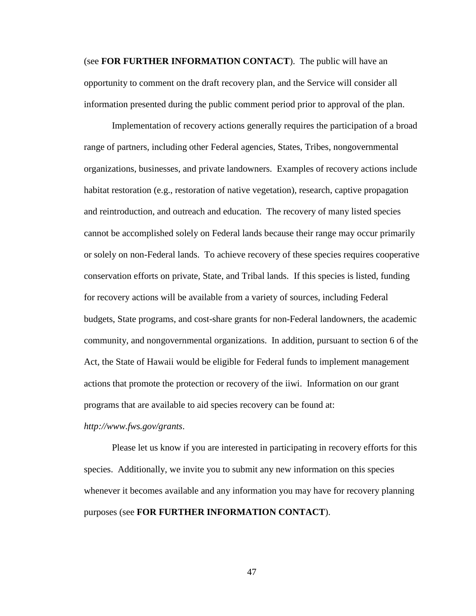(see **FOR FURTHER INFORMATION CONTACT**). The public will have an opportunity to comment on the draft recovery plan, and the Service will consider all information presented during the public comment period prior to approval of the plan.

Implementation of recovery actions generally requires the participation of a broad range of partners, including other Federal agencies, States, Tribes, nongovernmental organizations, businesses, and private landowners. Examples of recovery actions include habitat restoration (e.g., restoration of native vegetation), research, captive propagation and reintroduction, and outreach and education. The recovery of many listed species cannot be accomplished solely on Federal lands because their range may occur primarily or solely on non-Federal lands. To achieve recovery of these species requires cooperative conservation efforts on private, State, and Tribal lands. If this species is listed, funding for recovery actions will be available from a variety of sources, including Federal budgets, State programs, and cost-share grants for non-Federal landowners, the academic community, and nongovernmental organizations. In addition, pursuant to section 6 of the Act, the State of Hawaii would be eligible for Federal funds to implement management actions that promote the protection or recovery of the iiwi. Information on our grant programs that are available to aid species recovery can be found at:

*http://www.fws.gov/grants*.

Please let us know if you are interested in participating in recovery efforts for this species. Additionally, we invite you to submit any new information on this species whenever it becomes available and any information you may have for recovery planning purposes (see **FOR FURTHER INFORMATION CONTACT**).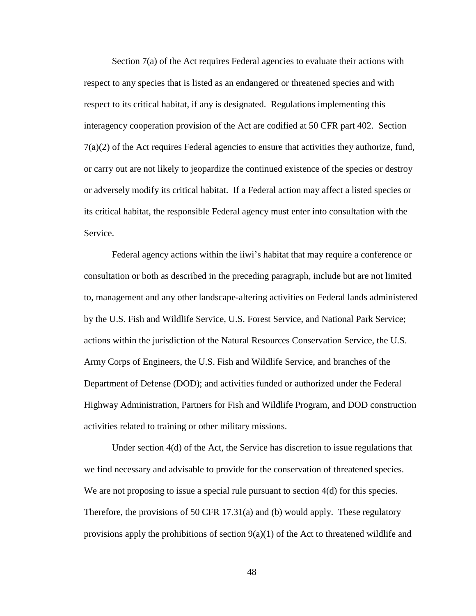Section 7(a) of the Act requires Federal agencies to evaluate their actions with respect to any species that is listed as an endangered or threatened species and with respect to its critical habitat, if any is designated. Regulations implementing this interagency cooperation provision of the Act are codified at 50 CFR part 402. Section 7(a)(2) of the Act requires Federal agencies to ensure that activities they authorize, fund, or carry out are not likely to jeopardize the continued existence of the species or destroy or adversely modify its critical habitat. If a Federal action may affect a listed species or its critical habitat, the responsible Federal agency must enter into consultation with the Service.

Federal agency actions within the iiwi's habitat that may require a conference or consultation or both as described in the preceding paragraph, include but are not limited to, management and any other landscape-altering activities on Federal lands administered by the U.S. Fish and Wildlife Service, U.S. Forest Service, and National Park Service; actions within the jurisdiction of the Natural Resources Conservation Service, the U.S. Army Corps of Engineers, the U.S. Fish and Wildlife Service, and branches of the Department of Defense (DOD); and activities funded or authorized under the Federal Highway Administration, Partners for Fish and Wildlife Program, and DOD construction activities related to training or other military missions.

Under section 4(d) of the Act, the Service has discretion to issue regulations that we find necessary and advisable to provide for the conservation of threatened species. We are not proposing to issue a special rule pursuant to section 4(d) for this species. Therefore, the provisions of 50 CFR 17.31(a) and (b) would apply. These regulatory provisions apply the prohibitions of section  $9(a)(1)$  of the Act to threatened wildlife and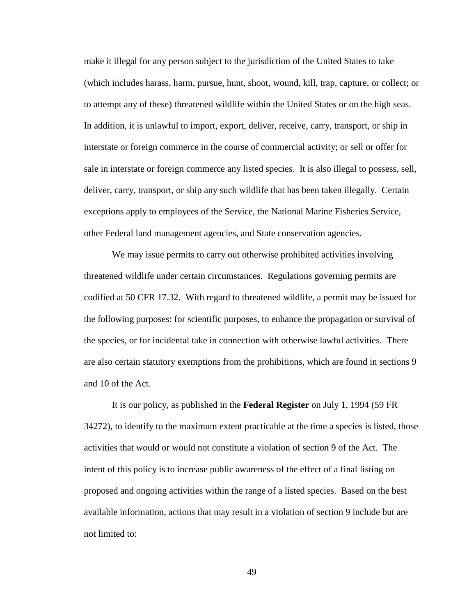make it illegal for any person subject to the jurisdiction of the United States to take (which includes harass, harm, pursue, hunt, shoot, wound, kill, trap, capture, or collect; or to attempt any of these) threatened wildlife within the United States or on the high seas. In addition, it is unlawful to import, export, deliver, receive, carry, transport, or ship in interstate or foreign commerce in the course of commercial activity; or sell or offer for sale in interstate or foreign commerce any listed species. It is also illegal to possess, sell, deliver, carry, transport, or ship any such wildlife that has been taken illegally. Certain exceptions apply to employees of the Service, the National Marine Fisheries Service, other Federal land management agencies, and State conservation agencies.

We may issue permits to carry out otherwise prohibited activities involving threatened wildlife under certain circumstances. Regulations governing permits are codified at 50 CFR 17.32. With regard to threatened wildlife, a permit may be issued for the following purposes: for scientific purposes, to enhance the propagation or survival of the species, or for incidental take in connection with otherwise lawful activities. There are also certain statutory exemptions from the prohibitions, which are found in sections 9 and 10 of the Act.

It is our policy, as published in the **Federal Register** on July 1, 1994 (59 FR 34272), to identify to the maximum extent practicable at the time a species is listed, those activities that would or would not constitute a violation of section 9 of the Act. The intent of this policy is to increase public awareness of the effect of a final listing on proposed and ongoing activities within the range of a listed species. Based on the best available information, actions that may result in a violation of section 9 include but are not limited to: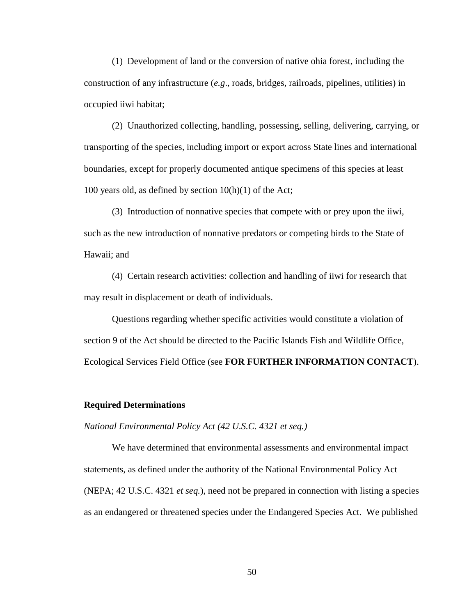(1) Development of land or the conversion of native ohia forest, including the construction of any infrastructure (*e.g*., roads, bridges, railroads, pipelines, utilities) in occupied iiwi habitat;

(2) Unauthorized collecting, handling, possessing, selling, delivering, carrying, or transporting of the species, including import or export across State lines and international boundaries, except for properly documented antique specimens of this species at least 100 years old, as defined by section 10(h)(1) of the Act;

(3) Introduction of nonnative species that compete with or prey upon the iiwi, such as the new introduction of nonnative predators or competing birds to the State of Hawaii; and

(4) Certain research activities: collection and handling of iiwi for research that may result in displacement or death of individuals.

Questions regarding whether specific activities would constitute a violation of section 9 of the Act should be directed to the Pacific Islands Fish and Wildlife Office, Ecological Services Field Office (see **FOR FURTHER INFORMATION CONTACT**).

### **Required Determinations**

*National Environmental Policy Act (42 U.S.C. 4321 et seq.)*

We have determined that environmental assessments and environmental impact statements, as defined under the authority of the National Environmental Policy Act (NEPA; 42 U.S.C. 4321 *et seq.*), need not be prepared in connection with listing a species as an endangered or threatened species under the Endangered Species Act. We published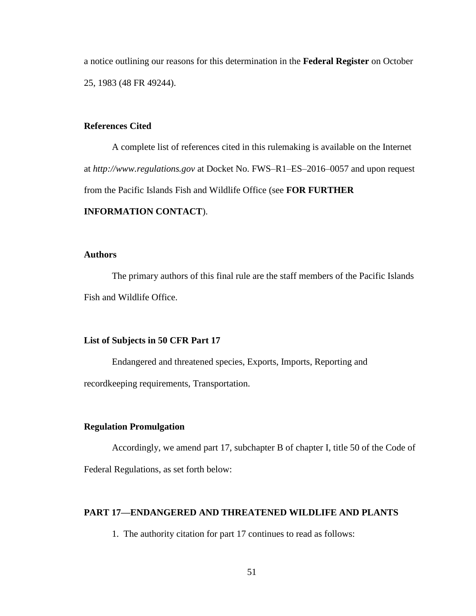a notice outlining our reasons for this determination in the **Federal Register** on October 25, 1983 (48 FR 49244).

## **References Cited**

A complete list of references cited in this rulemaking is available on the Internet at *http://www.regulations.gov* at Docket No. FWS–R1–ES–2016–0057 and upon request from the Pacific Islands Fish and Wildlife Office (see **FOR FURTHER** 

## **INFORMATION CONTACT**).

## **Authors**

The primary authors of this final rule are the staff members of the Pacific Islands Fish and Wildlife Office.

## **List of Subjects in 50 CFR Part 17**

Endangered and threatened species, Exports, Imports, Reporting and recordkeeping requirements, Transportation.

## **Regulation Promulgation**

Accordingly, we amend part 17, subchapter B of chapter I, title 50 of the Code of Federal Regulations, as set forth below:

## **PART 17—ENDANGERED AND THREATENED WILDLIFE AND PLANTS**

1. The authority citation for part 17 continues to read as follows: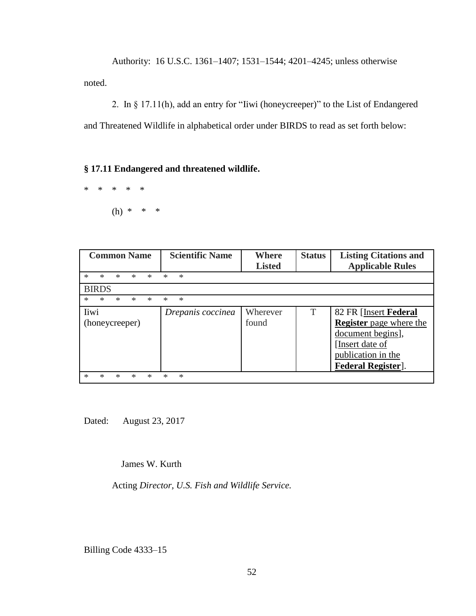Authority: 16 U.S.C. 1361–1407; 1531–1544; 4201–4245; unless otherwise noted.

2. In § 17.11(h), add an entry for "Iiwi (honeycreeper)" to the List of Endangered and Threatened Wildlife in alphabetical order under BIRDS to read as set forth below:

**§ 17.11 Endangered and threatened wildlife.**

\* \* \* \* \* (h) \* \* \*

| <b>Common Name</b>                             | <b>Scientific Name</b> | <b>Where</b><br><b>Listed</b> | <b>Status</b> | <b>Listing Citations and</b><br><b>Applicable Rules</b>                                                                                             |
|------------------------------------------------|------------------------|-------------------------------|---------------|-----------------------------------------------------------------------------------------------------------------------------------------------------|
| $\ast$<br>$\ast$<br>$\ast$<br>$\ast$<br>$\ast$ | $\ast$<br>$\ast$       |                               |               |                                                                                                                                                     |
| <b>BIRDS</b>                                   |                        |                               |               |                                                                                                                                                     |
| $\ast$<br>$\ast$<br>*<br>$\ast$<br>∗           | $\ast$<br>*            |                               |               |                                                                                                                                                     |
| liwi<br>(honeycreeper)                         | Drepanis coccinea      | Wherever<br>found             | T             | 82 FR [Insert Federal<br><b>Register</b> page where the<br>document begins],<br>[Insert date of<br>publication in the<br><b>Federal Register</b> ]. |
| *<br>*<br>∗<br>∗<br>*                          | *<br>*                 |                               |               |                                                                                                                                                     |

Dated:August 23, 2017

James W. Kurth

Acting *Director, U.S. Fish and Wildlife Service.*

Billing Code 4333–15